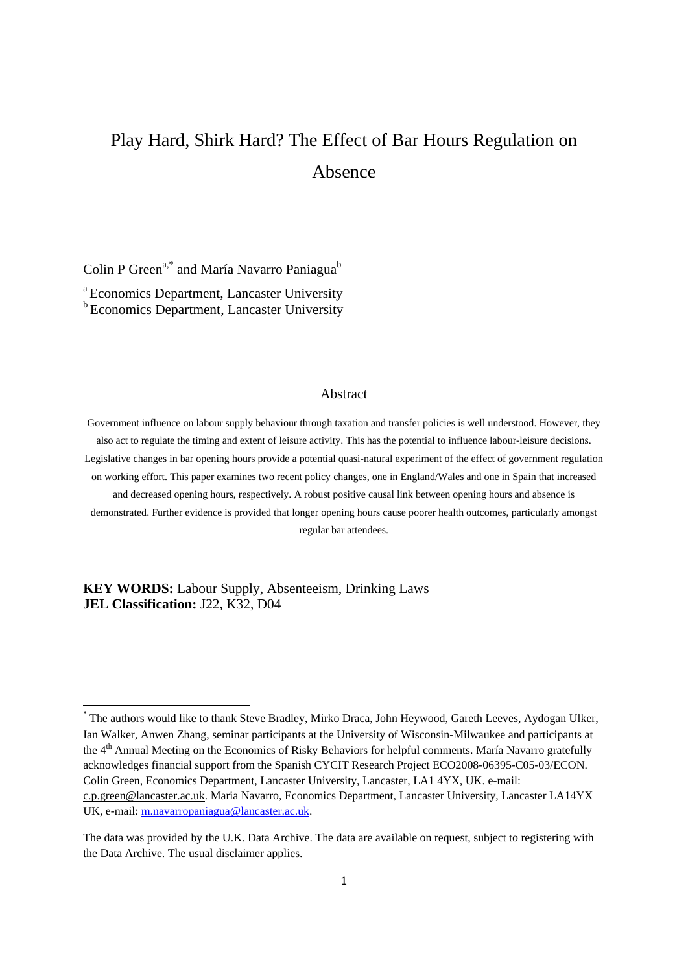# Play Hard, Shirk Hard? The Effect of Bar Hours Regulation on Absence

Colin P Green<sup>a,\*</sup> and María Navarro Paniagua<sup>b</sup>

<sup>a</sup> Economics Department, Lancaster University <sup>b</sup> Economics Department, Lancaster University

## Abstract

Government influence on labour supply behaviour through taxation and transfer policies is well understood. However, they also act to regulate the timing and extent of leisure activity. This has the potential to influence labour-leisure decisions. Legislative changes in bar opening hours provide a potential quasi-natural experiment of the effect of government regulation on working effort. This paper examines two recent policy changes, one in England/Wales and one in Spain that increased and decreased opening hours, respectively. A robust positive causal link between opening hours and absence is demonstrated. Further evidence is provided that longer opening hours cause poorer health outcomes, particularly amongst regular bar attendees.

**KEY WORDS:** Labour Supply, Absenteeism, Drinking Laws **JEL Classification:** J22, K32, D04

1

<sup>\*</sup> The authors would like to thank Steve Bradley, Mirko Draca, John Heywood, Gareth Leeves, Aydogan Ulker, Ian Walker, Anwen Zhang, seminar participants at the University of Wisconsin-Milwaukee and participants at the 4<sup>th</sup> Annual Meeting on the Economics of Risky Behaviors for helpful comments. María Navarro gratefully acknowledges financial support from the Spanish CYCIT Research Project ECO2008-06395-C05-03/ECON. Colin Green, Economics Department, Lancaster University, Lancaster, LA1 4YX, UK. e-mail: [c.p.green@lancaster.ac.uk.](mailto:c.p.green@lancaster.ac.uk) Maria Navarro, Economics Department, Lancaster University, Lancaster LA14YX UK, e-mail: [m.navarropaniagua@lancaster.ac.uk.](mailto:m.navarropaniagua@lancaster.ac.uk)

The data was provided by the U.K. Data Archive. The data are available on request, subject to registering with the Data Archive. The usual disclaimer applies.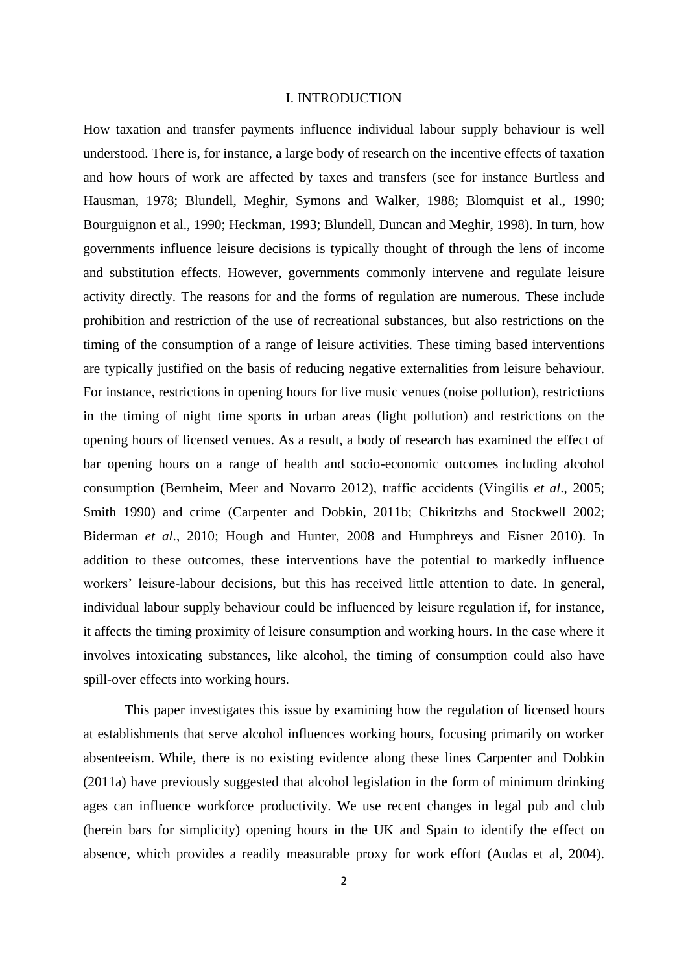#### I. INTRODUCTION

How taxation and transfer payments influence individual labour supply behaviour is well understood. There is, for instance, a large body of research on the incentive effects of taxation and how hours of work are affected by taxes and transfers (see for instance Burtless and Hausman, 1978; Blundell, Meghir, Symons and Walker, 1988; Blomquist et al., 1990; Bourguignon et al., 1990; Heckman, 1993; Blundell, Duncan and Meghir, 1998). In turn, how governments influence leisure decisions is typically thought of through the lens of income and substitution effects. However, governments commonly intervene and regulate leisure activity directly. The reasons for and the forms of regulation are numerous. These include prohibition and restriction of the use of recreational substances, but also restrictions on the timing of the consumption of a range of leisure activities. These timing based interventions are typically justified on the basis of reducing negative externalities from leisure behaviour. For instance, restrictions in opening hours for live music venues (noise pollution), restrictions in the timing of night time sports in urban areas (light pollution) and restrictions on the opening hours of licensed venues. As a result, a body of research has examined the effect of bar opening hours on a range of health and socio-economic outcomes including alcohol consumption (Bernheim, Meer and Novarro 2012), traffic accidents (Vingilis *et al*., 2005; Smith 1990) and crime (Carpenter and Dobkin, 2011b; Chikritzhs and Stockwell 2002; Biderman *et al*., 2010; Hough and Hunter, 2008 and Humphreys and Eisner 2010). In addition to these outcomes, these interventions have the potential to markedly influence workers' leisure-labour decisions, but this has received little attention to date. In general, individual labour supply behaviour could be influenced by leisure regulation if, for instance, it affects the timing proximity of leisure consumption and working hours. In the case where it involves intoxicating substances, like alcohol, the timing of consumption could also have spill-over effects into working hours.

This paper investigates this issue by examining how the regulation of licensed hours at establishments that serve alcohol influences working hours, focusing primarily on worker absenteeism. While, there is no existing evidence along these lines Carpenter and Dobkin (2011a) have previously suggested that alcohol legislation in the form of minimum drinking ages can influence workforce productivity. We use recent changes in legal pub and club (herein bars for simplicity) opening hours in the UK and Spain to identify the effect on absence, which provides a readily measurable proxy for work effort (Audas et al, 2004).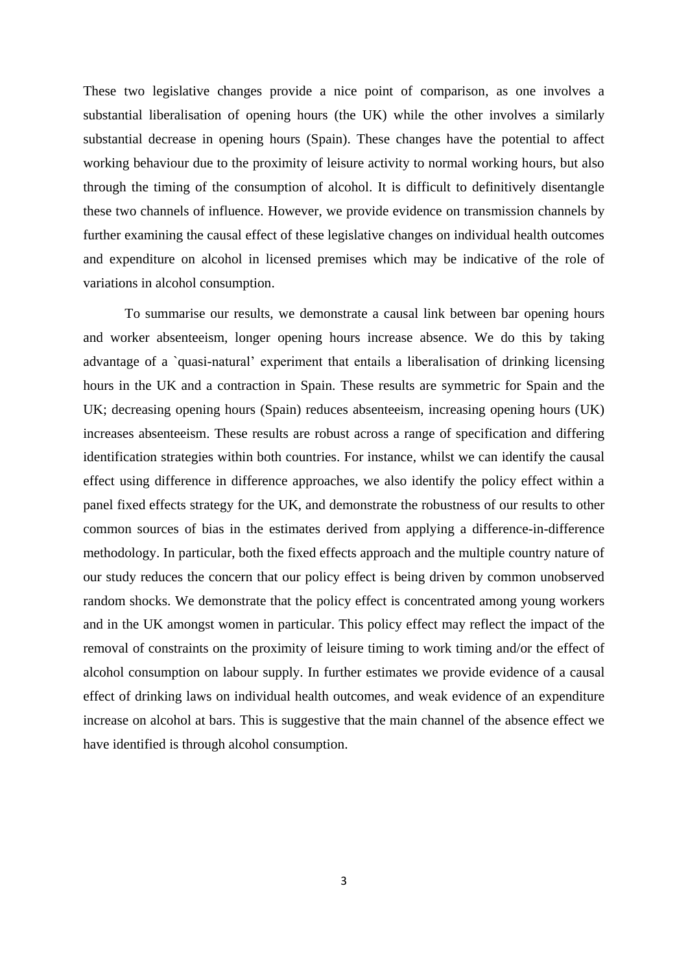These two legislative changes provide a nice point of comparison, as one involves a substantial liberalisation of opening hours (the UK) while the other involves a similarly substantial decrease in opening hours (Spain). These changes have the potential to affect working behaviour due to the proximity of leisure activity to normal working hours, but also through the timing of the consumption of alcohol. It is difficult to definitively disentangle these two channels of influence. However, we provide evidence on transmission channels by further examining the causal effect of these legislative changes on individual health outcomes and expenditure on alcohol in licensed premises which may be indicative of the role of variations in alcohol consumption.

To summarise our results, we demonstrate a causal link between bar opening hours and worker absenteeism, longer opening hours increase absence. We do this by taking advantage of a `quasi-natural' experiment that entails a liberalisation of drinking licensing hours in the UK and a contraction in Spain. These results are symmetric for Spain and the UK; decreasing opening hours (Spain) reduces absenteeism, increasing opening hours (UK) increases absenteeism. These results are robust across a range of specification and differing identification strategies within both countries. For instance, whilst we can identify the causal effect using difference in difference approaches, we also identify the policy effect within a panel fixed effects strategy for the UK, and demonstrate the robustness of our results to other common sources of bias in the estimates derived from applying a difference-in-difference methodology. In particular, both the fixed effects approach and the multiple country nature of our study reduces the concern that our policy effect is being driven by common unobserved random shocks. We demonstrate that the policy effect is concentrated among young workers and in the UK amongst women in particular. This policy effect may reflect the impact of the removal of constraints on the proximity of leisure timing to work timing and/or the effect of alcohol consumption on labour supply. In further estimates we provide evidence of a causal effect of drinking laws on individual health outcomes, and weak evidence of an expenditure increase on alcohol at bars. This is suggestive that the main channel of the absence effect we have identified is through alcohol consumption.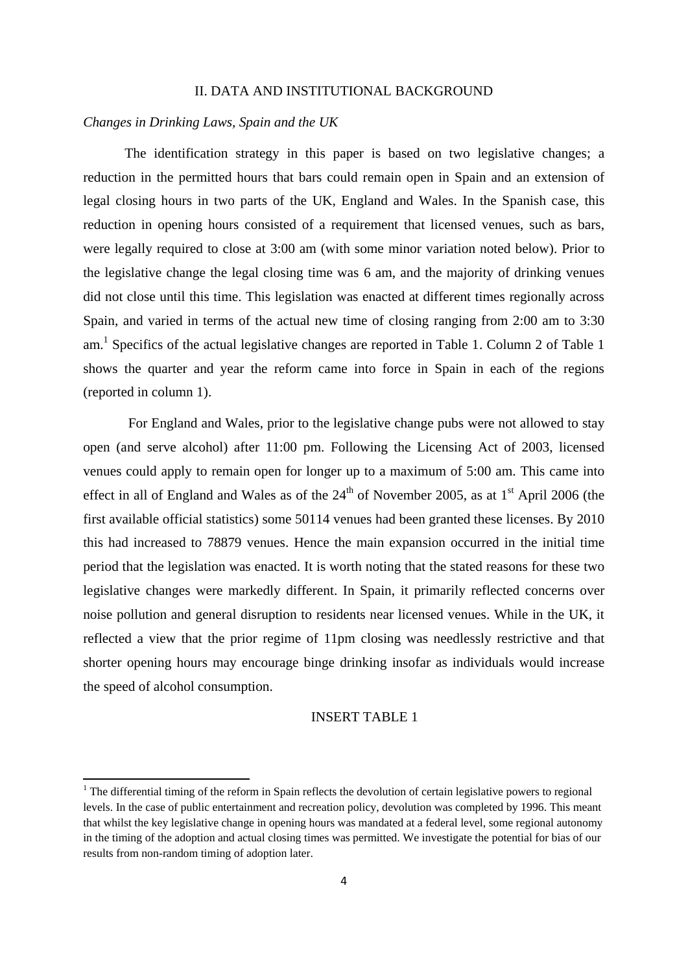## II. DATA AND INSTITUTIONAL BACKGROUND

# *Changes in Drinking Laws, Spain and the UK*

1

The identification strategy in this paper is based on two legislative changes; a reduction in the permitted hours that bars could remain open in Spain and an extension of legal closing hours in two parts of the UK, England and Wales. In the Spanish case, this reduction in opening hours consisted of a requirement that licensed venues, such as bars, were legally required to close at 3:00 am (with some minor variation noted below). Prior to the legislative change the legal closing time was 6 am, and the majority of drinking venues did not close until this time. This legislation was enacted at different times regionally across Spain, and varied in terms of the actual new time of closing ranging from 2:00 am to 3:30 am.<sup>1</sup> Specifics of the actual legislative changes are reported in Table 1. Column 2 of Table 1 shows the quarter and year the reform came into force in Spain in each of the regions (reported in column 1).

For England and Wales, prior to the legislative change pubs were not allowed to stay open (and serve alcohol) after 11:00 pm. Following the Licensing Act of 2003, licensed venues could apply to remain open for longer up to a maximum of 5:00 am. This came into effect in all of England and Wales as of the  $24<sup>th</sup>$  of November 2005, as at 1<sup>st</sup> April 2006 (the first available official statistics) some 50114 venues had been granted these licenses. By 2010 this had increased to 78879 venues. Hence the main expansion occurred in the initial time period that the legislation was enacted. It is worth noting that the stated reasons for these two legislative changes were markedly different. In Spain, it primarily reflected concerns over noise pollution and general disruption to residents near licensed venues. While in the UK, it reflected a view that the prior regime of 11pm closing was needlessly restrictive and that shorter opening hours may encourage binge drinking insofar as individuals would increase the speed of alcohol consumption.

# INSERT TABLE 1

 $<sup>1</sup>$  The differential timing of the reform in Spain reflects the devolution of certain legislative powers to regional</sup> levels. In the case of public entertainment and recreation policy, devolution was completed by 1996. This meant that whilst the key legislative change in opening hours was mandated at a federal level, some regional autonomy in the timing of the adoption and actual closing times was permitted. We investigate the potential for bias of our results from non-random timing of adoption later.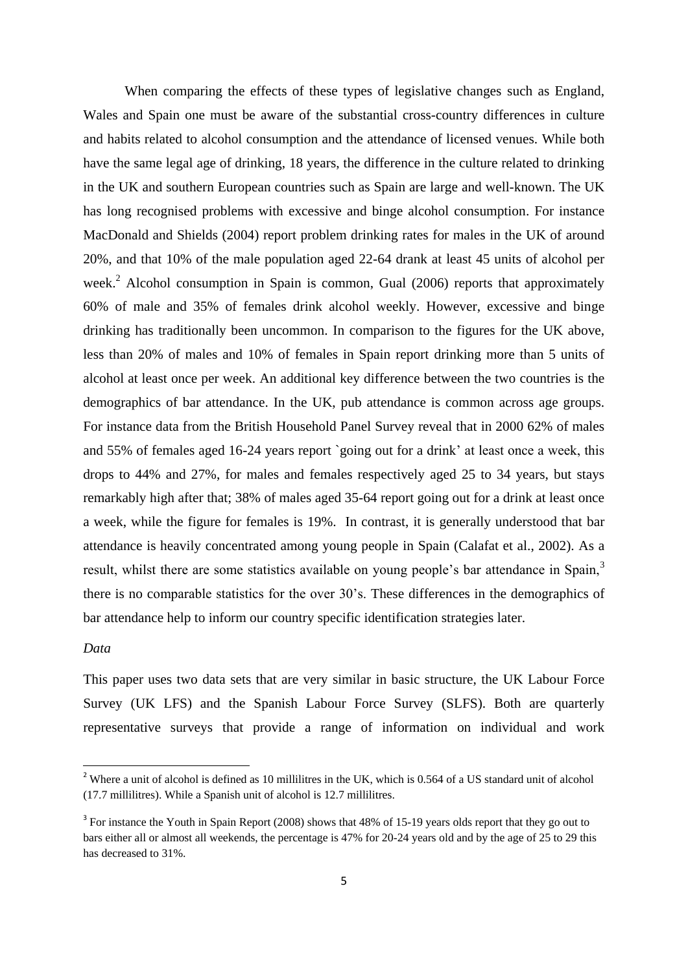When comparing the effects of these types of legislative changes such as England, Wales and Spain one must be aware of the substantial cross-country differences in culture and habits related to alcohol consumption and the attendance of licensed venues. While both have the same legal age of drinking, 18 years, the difference in the culture related to drinking in the UK and southern European countries such as Spain are large and well-known. The UK has long recognised problems with excessive and binge alcohol consumption. For instance MacDonald and Shields (2004) report problem drinking rates for males in the UK of around 20%, and that 10% of the male population aged 22-64 drank at least 45 units of alcohol per week.<sup>2</sup> Alcohol consumption in Spain is common, Gual (2006) reports that approximately 60% of male and 35% of females drink alcohol weekly. However, excessive and binge drinking has traditionally been uncommon. In comparison to the figures for the UK above, less than 20% of males and 10% of females in Spain report drinking more than 5 units of alcohol at least once per week. An additional key difference between the two countries is the demographics of bar attendance. In the UK, pub attendance is common across age groups. For instance data from the British Household Panel Survey reveal that in 2000 62% of males and 55% of females aged 16-24 years report `going out for a drink' at least once a week, this drops to 44% and 27%, for males and females respectively aged 25 to 34 years, but stays remarkably high after that; 38% of males aged 35-64 report going out for a drink at least once a week, while the figure for females is 19%. In contrast, it is generally understood that bar attendance is heavily concentrated among young people in Spain (Calafat et al., 2002). As a result, whilst there are some statistics available on young people's bar attendance in Spain,<sup>3</sup> there is no comparable statistics for the over 30's. These differences in the demographics of bar attendance help to inform our country specific identification strategies later.

#### *Data*

**.** 

This paper uses two data sets that are very similar in basic structure, the UK Labour Force Survey (UK LFS) and the Spanish Labour Force Survey (SLFS). Both are quarterly representative surveys that provide a range of information on individual and work

<sup>&</sup>lt;sup>2</sup> Where a unit of alcohol is defined as 10 millilitres in the UK, which is 0.564 of a US standard unit of alcohol (17.7 millilitres). While a Spanish unit of alcohol is 12.7 millilitres.

<sup>&</sup>lt;sup>3</sup> For instance the Youth in Spain Report (2008) shows that 48% of 15-19 years olds report that they go out to bars either all or almost all weekends, the percentage is 47% for 20-24 years old and by the age of 25 to 29 this has decreased to 31%.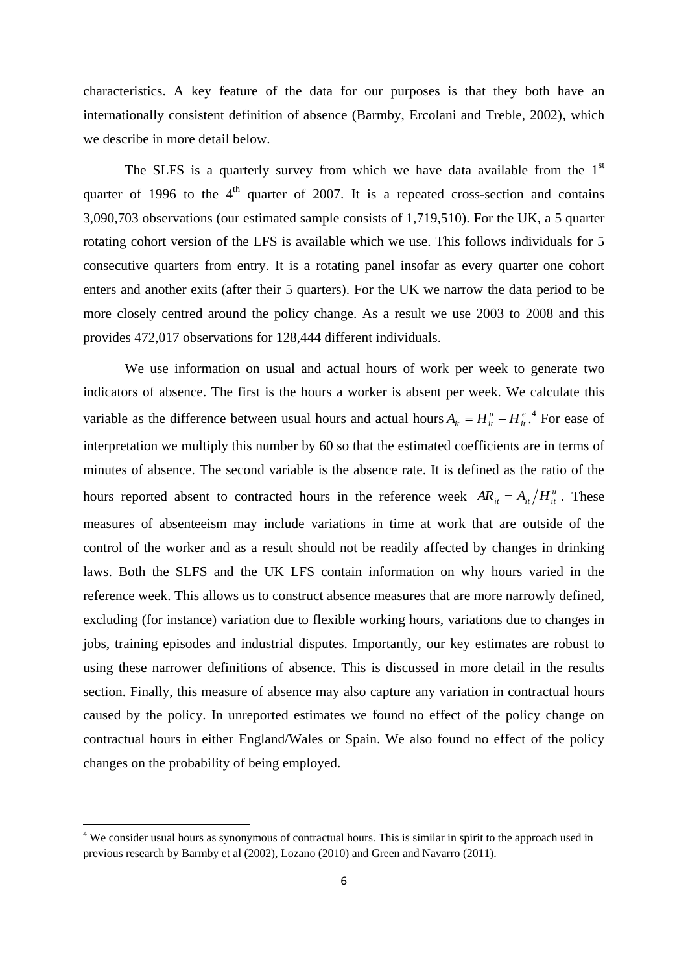characteristics. A key feature of the data for our purposes is that they both have an internationally consistent definition of absence (Barmby, Ercolani and Treble, 2002), which we describe in more detail below.

The SLFS is a quarterly survey from which we have data available from the  $1<sup>st</sup>$ quarter of 1996 to the  $4<sup>th</sup>$  quarter of 2007. It is a repeated cross-section and contains 3,090,703 observations (our estimated sample consists of 1,719,510). For the UK, a 5 quarter rotating cohort version of the LFS is available which we use. This follows individuals for 5 consecutive quarters from entry. It is a rotating panel insofar as every quarter one cohort enters and another exits (after their 5 quarters). For the UK we narrow the data period to be more closely centred around the policy change. As a result we use 2003 to 2008 and this provides 472,017 observations for 128,444 different individuals.

We use information on usual and actual hours of work per week to generate two indicators of absence. The first is the hours a worker is absent per week. We calculate this variable as the difference between usual hours and actual hours  $A_{ii} = H_{ii}^u - H_{ii}^e$  $A_{it} = H_{it}^u - H_{it}^e$ .<sup>4</sup> For ease of interpretation we multiply this number by 60 so that the estimated coefficients are in terms of minutes of absence. The second variable is the absence rate. It is defined as the ratio of the hours reported absent to contracted hours in the reference week  $AR_{it} = A_{it}/H_{it}^{u}$ . These measures of absenteeism may include variations in time at work that are outside of the control of the worker and as a result should not be readily affected by changes in drinking laws. Both the SLFS and the UK LFS contain information on why hours varied in the reference week. This allows us to construct absence measures that are more narrowly defined, excluding (for instance) variation due to flexible working hours, variations due to changes in jobs, training episodes and industrial disputes. Importantly, our key estimates are robust to using these narrower definitions of absence. This is discussed in more detail in the results section. Finally, this measure of absence may also capture any variation in contractual hours caused by the policy. In unreported estimates we found no effect of the policy change on contractual hours in either England/Wales or Spain. We also found no effect of the policy changes on the probability of being employed.

1

<sup>&</sup>lt;sup>4</sup> We consider usual hours as synonymous of contractual hours. This is similar in spirit to the approach used in previous research by Barmby et al (2002), Lozano (2010) and Green and Navarro (2011).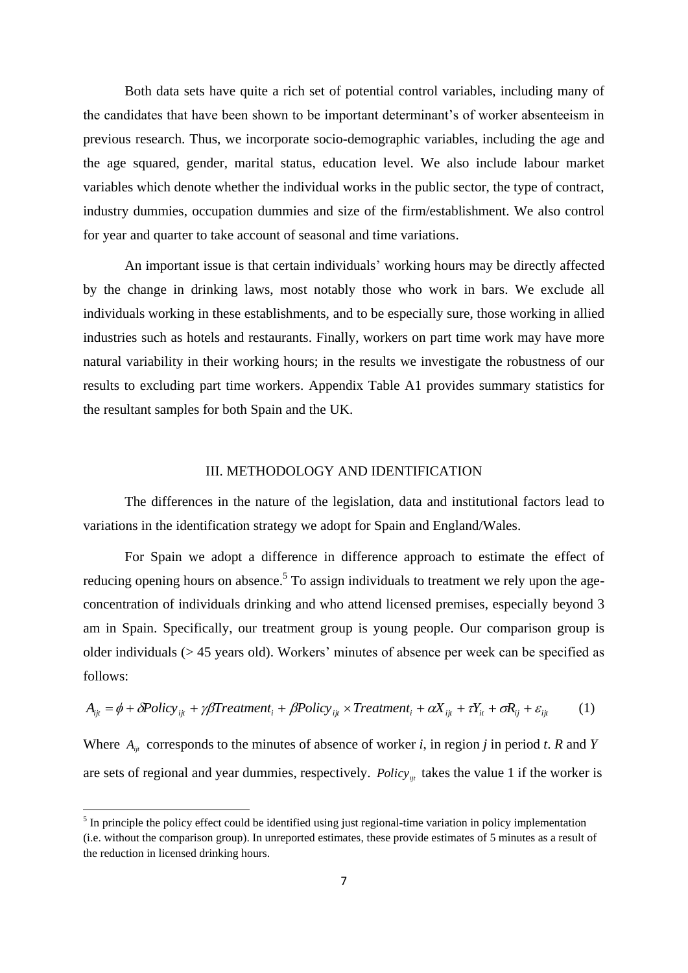Both data sets have quite a rich set of potential control variables, including many of the candidates that have been shown to be important determinant's of worker absenteeism in previous research. Thus, we incorporate socio-demographic variables, including the age and the age squared, gender, marital status, education level. We also include labour market variables which denote whether the individual works in the public sector, the type of contract, industry dummies, occupation dummies and size of the firm/establishment. We also control for year and quarter to take account of seasonal and time variations.

An important issue is that certain individuals' working hours may be directly affected by the change in drinking laws, most notably those who work in bars. We exclude all individuals working in these establishments, and to be especially sure, those working in allied industries such as hotels and restaurants. Finally, workers on part time work may have more natural variability in their working hours; in the results we investigate the robustness of our results to excluding part time workers. Appendix Table A1 provides summary statistics for the resultant samples for both Spain and the UK.

## III. METHODOLOGY AND IDENTIFICATION

The differences in the nature of the legislation, data and institutional factors lead to variations in the identification strategy we adopt for Spain and England/Wales.

For Spain we adopt a difference in difference approach to estimate the effect of reducing opening hours on absence.<sup>5</sup> To assign individuals to treatment we rely upon the ageconcentration of individuals drinking and who attend licensed premises, especially beyond 3 am in Spain. Specifically, our treatment group is young people. Our comparison group is older individuals (> 45 years old). Workers' minutes of absence per week can be specified as follows:

$$
A_{ijt} = \phi + \delta Policy_{ijt} + \gamma \beta Treatment_i + \beta Policy_{ijt} \times Treatment_i + \alpha X_{ijt} + \tau Y_{it} + \sigma R_{ij} + \varepsilon_{ijt}
$$
 (1)

Where  $A_{ijt}$  corresponds to the minutes of absence of worker *i*, in region *j* in period *t*. *R* and *Y* are sets of regional and year dummies, respectively. *Policy*<sub>*ijt*</sub> takes the value 1 if the worker is

<sup>&</sup>lt;sup>5</sup> In principle the policy effect could be identified using just regional-time variation in policy implementation (i.e. without the comparison group). In unreported estimates, these provide estimates of 5 minutes as a result of the reduction in licensed drinking hours.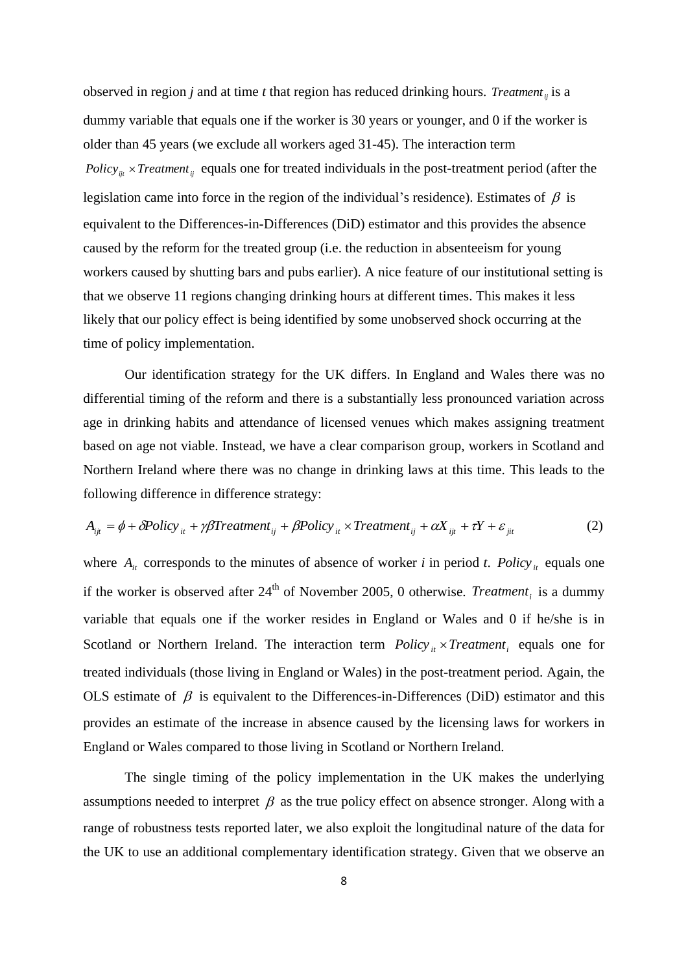observed in region *j* and at time *t* that region has reduced drinking hours. *Treatment*<sub>*ij*</sub> is a dummy variable that equals one if the worker is 30 years or younger, and 0 if the worker is older than 45 years (we exclude all workers aged 31-45). The interaction term *Policy<sub>ijt</sub>*  $\times$  *Treatment*<sub>*ij*</sub> equals one for treated individuals in the post-treatment period (after the legislation came into force in the region of the individual's residence). Estimates of  $\beta$  is equivalent to the Differences-in-Differences (DiD) estimator and this provides the absence caused by the reform for the treated group (i.e. the reduction in absenteeism for young workers caused by shutting bars and pubs earlier). A nice feature of our institutional setting is that we observe 11 regions changing drinking hours at different times. This makes it less likely that our policy effect is being identified by some unobserved shock occurring at the time of policy implementation.

Our identification strategy for the UK differs. In England and Wales there was no differential timing of the reform and there is a substantially less pronounced variation across age in drinking habits and attendance of licensed venues which makes assigning treatment based on age not viable. Instead, we have a clear comparison group, workers in Scotland and Northern Ireland where there was no change in drinking laws at this time. This leads to the following difference in difference strategy:

$$
A_{ijt} = \phi + \delta Policy_{it} + \gamma \beta Treatment_{ij} + \beta Policy_{it} \times Treatment_{ij} + \alpha X_{ijt} + \tau Y + \varepsilon_{jit}
$$
 (2)

where  $A_{it}$  corresponds to the minutes of absence of worker *i* in period *t*. *Policy*  $\mathbf{r}_t$  equals one if the worker is observed after  $24<sup>th</sup>$  of November 2005, 0 otherwise. *Treatment<sub>i</sub>* is a dummy variable that equals one if the worker resides in England or Wales and 0 if he/she is in Scotland or Northern Ireland. The interaction term  $Policy_{it} \times Treatment_i$  equals one for treated individuals (those living in England or Wales) in the post-treatment period. Again, the OLS estimate of  $\beta$  is equivalent to the Differences-in-Differences (DiD) estimator and this provides an estimate of the increase in absence caused by the licensing laws for workers in England or Wales compared to those living in Scotland or Northern Ireland.

The single timing of the policy implementation in the UK makes the underlying assumptions needed to interpret  $\beta$  as the true policy effect on absence stronger. Along with a range of robustness tests reported later, we also exploit the longitudinal nature of the data for the UK to use an additional complementary identification strategy. Given that we observe an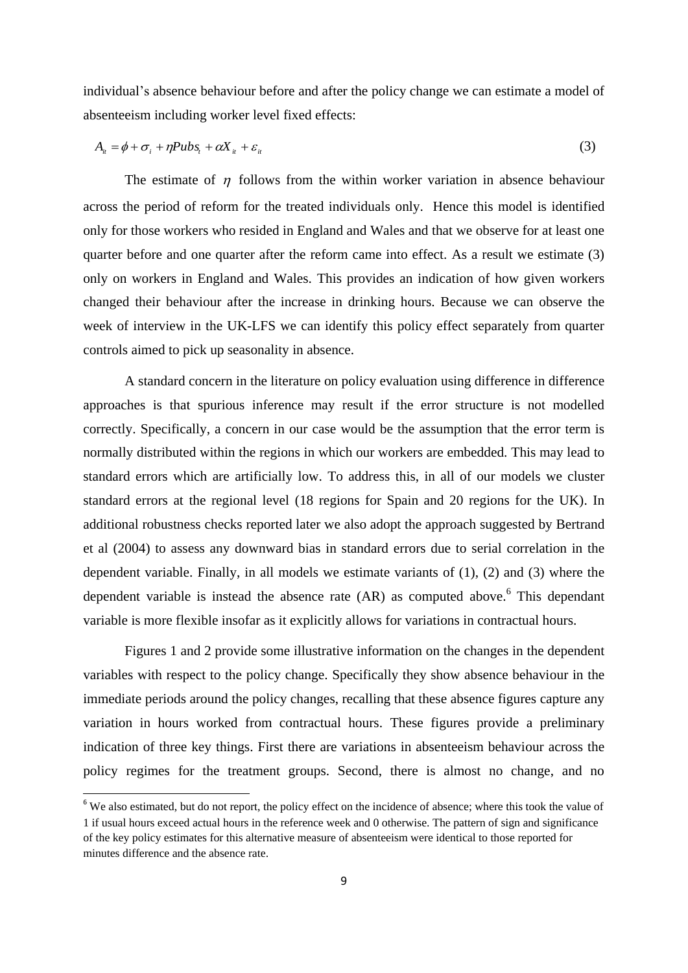individual's absence behaviour before and after the policy change we can estimate a model of absenteeism including worker level fixed effects:

$$
A_{ii} = \phi + \sigma_i + \eta P u b s_t + \alpha X_{ii} + \varepsilon_{ii}
$$
\n<sup>(3)</sup>

The estimate of  $\eta$  follows from the within worker variation in absence behaviour across the period of reform for the treated individuals only. Hence this model is identified only for those workers who resided in England and Wales and that we observe for at least one quarter before and one quarter after the reform came into effect. As a result we estimate (3) only on workers in England and Wales. This provides an indication of how given workers changed their behaviour after the increase in drinking hours. Because we can observe the week of interview in the UK-LFS we can identify this policy effect separately from quarter controls aimed to pick up seasonality in absence.

A standard concern in the literature on policy evaluation using difference in difference approaches is that spurious inference may result if the error structure is not modelled correctly. Specifically, a concern in our case would be the assumption that the error term is normally distributed within the regions in which our workers are embedded. This may lead to standard errors which are artificially low. To address this, in all of our models we cluster standard errors at the regional level (18 regions for Spain and 20 regions for the UK). In additional robustness checks reported later we also adopt the approach suggested by Bertrand et al (2004) to assess any downward bias in standard errors due to serial correlation in the dependent variable. Finally, in all models we estimate variants of (1), (2) and (3) where the dependent variable is instead the absence rate  $(AR)$  as computed above.<sup>6</sup> This dependant variable is more flexible insofar as it explicitly allows for variations in contractual hours.

Figures 1 and 2 provide some illustrative information on the changes in the dependent variables with respect to the policy change. Specifically they show absence behaviour in the immediate periods around the policy changes, recalling that these absence figures capture any variation in hours worked from contractual hours. These figures provide a preliminary indication of three key things. First there are variations in absenteeism behaviour across the policy regimes for the treatment groups. Second, there is almost no change, and no

<sup>&</sup>lt;sup>6</sup> We also estimated, but do not report, the policy effect on the incidence of absence; where this took the value of 1 if usual hours exceed actual hours in the reference week and 0 otherwise. The pattern of sign and significance of the key policy estimates for this alternative measure of absenteeism were identical to those reported for minutes difference and the absence rate.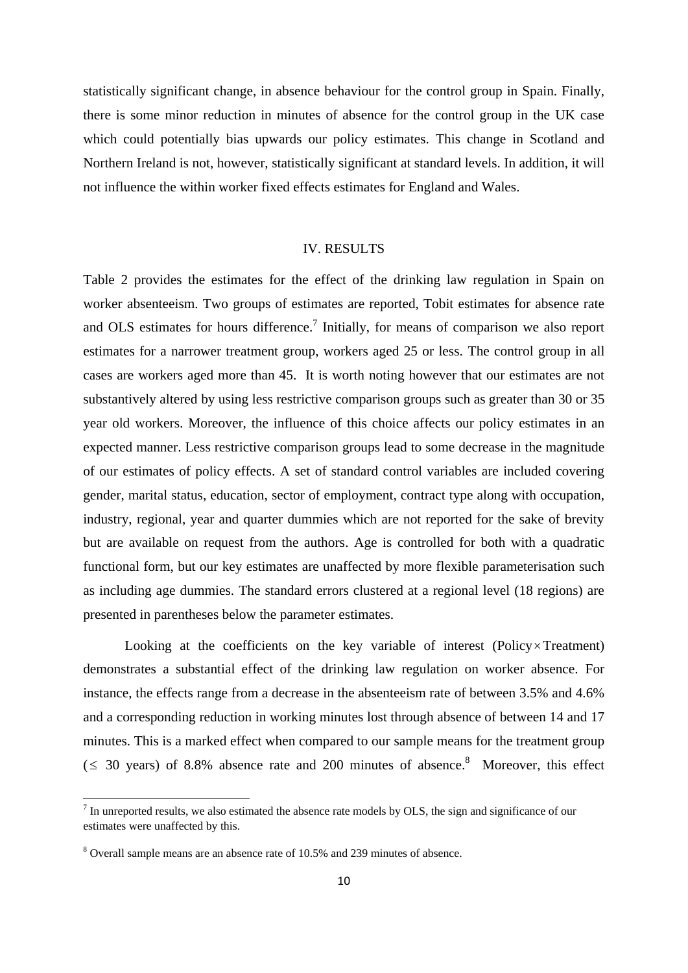statistically significant change, in absence behaviour for the control group in Spain. Finally, there is some minor reduction in minutes of absence for the control group in the UK case which could potentially bias upwards our policy estimates. This change in Scotland and Northern Ireland is not, however, statistically significant at standard levels. In addition, it will not influence the within worker fixed effects estimates for England and Wales.

# IV. RESULTS

Table 2 provides the estimates for the effect of the drinking law regulation in Spain on worker absenteeism. Two groups of estimates are reported, Tobit estimates for absence rate and OLS estimates for hours difference.<sup>7</sup> Initially, for means of comparison we also report estimates for a narrower treatment group, workers aged 25 or less. The control group in all cases are workers aged more than 45. It is worth noting however that our estimates are not substantively altered by using less restrictive comparison groups such as greater than 30 or 35 year old workers. Moreover, the influence of this choice affects our policy estimates in an expected manner. Less restrictive comparison groups lead to some decrease in the magnitude of our estimates of policy effects. A set of standard control variables are included covering gender, marital status, education, sector of employment, contract type along with occupation, industry, regional, year and quarter dummies which are not reported for the sake of brevity but are available on request from the authors. Age is controlled for both with a quadratic functional form, but our key estimates are unaffected by more flexible parameterisation such as including age dummies. The standard errors clustered at a regional level (18 regions) are presented in parentheses below the parameter estimates.

Looking at the coefficients on the key variable of interest (Policy x Treatment) demonstrates a substantial effect of the drinking law regulation on worker absence. For instance, the effects range from a decrease in the absenteeism rate of between 3.5% and 4.6% and a corresponding reduction in working minutes lost through absence of between 14 and 17 minutes. This is a marked effect when compared to our sample means for the treatment group  $( \leq 30 \text{ years})$  of 8.8% absence rate and 200 minutes of absence.<sup>8</sup> Moreover, this effect

 $<sup>7</sup>$  In unreported results, we also estimated the absence rate models by OLS, the sign and significance of our</sup> estimates were unaffected by this.

<sup>8</sup> Overall sample means are an absence rate of 10.5% and 239 minutes of absence.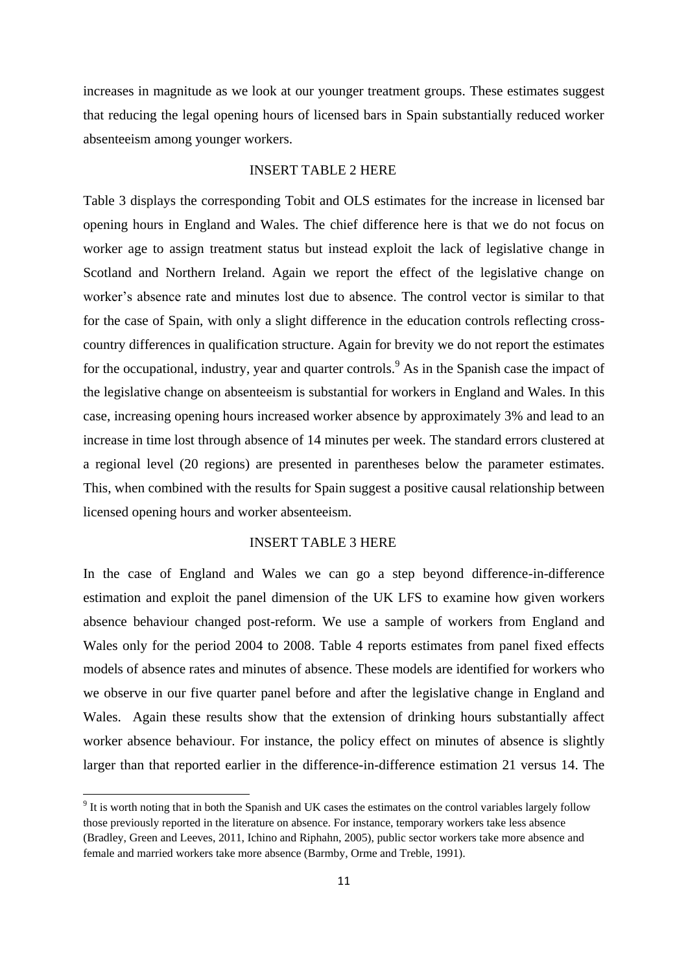increases in magnitude as we look at our younger treatment groups. These estimates suggest that reducing the legal opening hours of licensed bars in Spain substantially reduced worker absenteeism among younger workers.

# INSERT TABLE 2 HERE

Table 3 displays the corresponding Tobit and OLS estimates for the increase in licensed bar opening hours in England and Wales. The chief difference here is that we do not focus on worker age to assign treatment status but instead exploit the lack of legislative change in Scotland and Northern Ireland. Again we report the effect of the legislative change on worker's absence rate and minutes lost due to absence. The control vector is similar to that for the case of Spain, with only a slight difference in the education controls reflecting crosscountry differences in qualification structure. Again for brevity we do not report the estimates for the occupational, industry, year and quarter controls.<sup>9</sup> As in the Spanish case the impact of the legislative change on absenteeism is substantial for workers in England and Wales. In this case, increasing opening hours increased worker absence by approximately 3% and lead to an increase in time lost through absence of 14 minutes per week. The standard errors clustered at a regional level (20 regions) are presented in parentheses below the parameter estimates. This, when combined with the results for Spain suggest a positive causal relationship between licensed opening hours and worker absenteeism.

# INSERT TABLE 3 HERE

In the case of England and Wales we can go a step beyond difference-in-difference estimation and exploit the panel dimension of the UK LFS to examine how given workers absence behaviour changed post-reform. We use a sample of workers from England and Wales only for the period 2004 to 2008. Table 4 reports estimates from panel fixed effects models of absence rates and minutes of absence. These models are identified for workers who we observe in our five quarter panel before and after the legislative change in England and Wales. Again these results show that the extension of drinking hours substantially affect worker absence behaviour. For instance, the policy effect on minutes of absence is slightly larger than that reported earlier in the difference-in-difference estimation 21 versus 14. The

 $9$  It is worth noting that in both the Spanish and UK cases the estimates on the control variables largely follow those previously reported in the literature on absence. For instance, temporary workers take less absence (Bradley, Green and Leeves, 2011, Ichino and Riphahn, 2005), public sector workers take more absence and female and married workers take more absence (Barmby, Orme and Treble, 1991).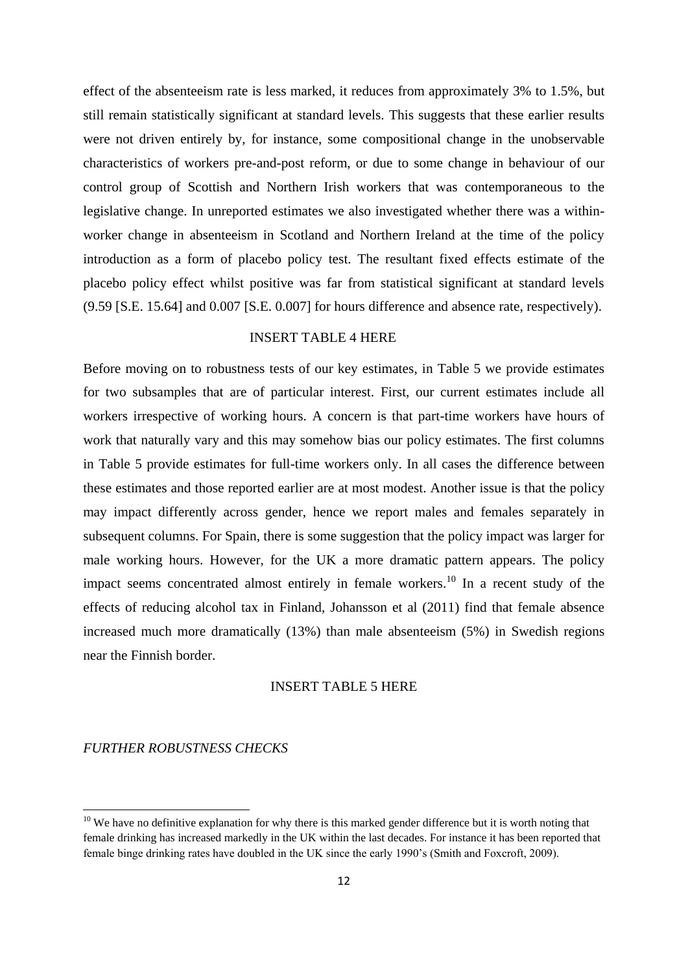effect of the absenteeism rate is less marked, it reduces from approximately 3% to 1.5%, but still remain statistically significant at standard levels. This suggests that these earlier results were not driven entirely by, for instance, some compositional change in the unobservable characteristics of workers pre-and-post reform, or due to some change in behaviour of our control group of Scottish and Northern Irish workers that was contemporaneous to the legislative change. In unreported estimates we also investigated whether there was a withinworker change in absenteeism in Scotland and Northern Ireland at the time of the policy introduction as a form of placebo policy test. The resultant fixed effects estimate of the placebo policy effect whilst positive was far from statistical significant at standard levels (9.59 [S.E. 15.64] and 0.007 [S.E. 0.007] for hours difference and absence rate, respectively).

# INSERT TABLE 4 HERE

Before moving on to robustness tests of our key estimates, in Table 5 we provide estimates for two subsamples that are of particular interest. First, our current estimates include all workers irrespective of working hours. A concern is that part-time workers have hours of work that naturally vary and this may somehow bias our policy estimates. The first columns in Table 5 provide estimates for full-time workers only. In all cases the difference between these estimates and those reported earlier are at most modest. Another issue is that the policy may impact differently across gender, hence we report males and females separately in subsequent columns. For Spain, there is some suggestion that the policy impact was larger for male working hours. However, for the UK a more dramatic pattern appears. The policy impact seems concentrated almost entirely in female workers.<sup>10</sup> In a recent study of the effects of reducing alcohol tax in Finland, Johansson et al (2011) find that female absence increased much more dramatically (13%) than male absenteeism (5%) in Swedish regions near the Finnish border.

### INSERT TABLE 5 HERE

# *FURTHER ROBUSTNESS CHECKS*

 $10$  We have no definitive explanation for why there is this marked gender difference but it is worth noting that female drinking has increased markedly in the UK within the last decades. For instance it has been reported that female binge drinking rates have doubled in the UK since the early 1990's (Smith and Foxcroft, 2009).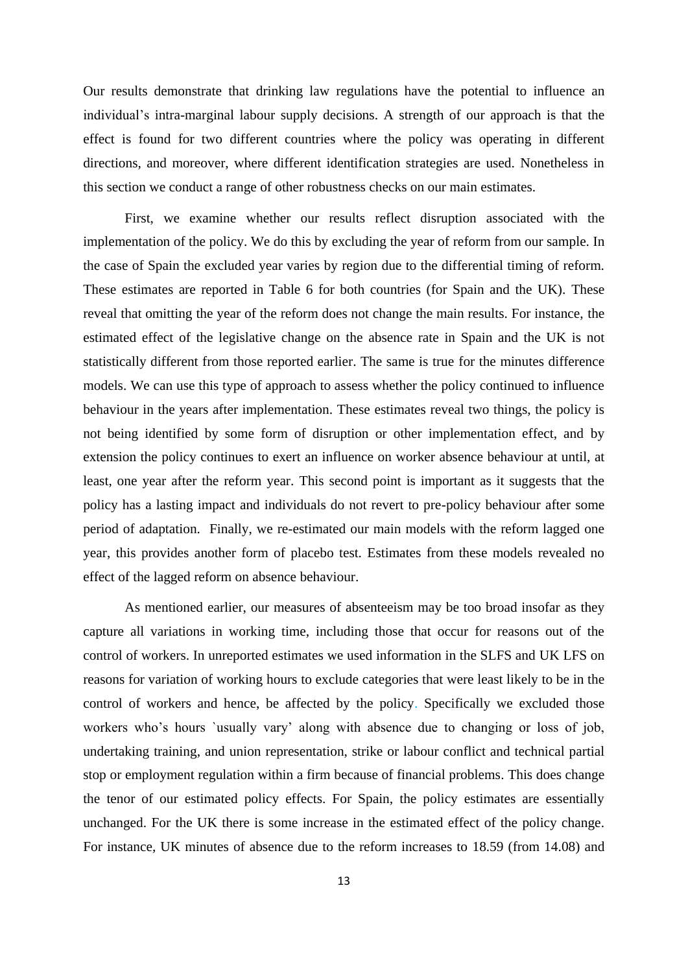Our results demonstrate that drinking law regulations have the potential to influence an individual's intra-marginal labour supply decisions. A strength of our approach is that the effect is found for two different countries where the policy was operating in different directions, and moreover, where different identification strategies are used. Nonetheless in this section we conduct a range of other robustness checks on our main estimates.

First, we examine whether our results reflect disruption associated with the implementation of the policy. We do this by excluding the year of reform from our sample. In the case of Spain the excluded year varies by region due to the differential timing of reform. These estimates are reported in Table 6 for both countries (for Spain and the UK). These reveal that omitting the year of the reform does not change the main results. For instance, the estimated effect of the legislative change on the absence rate in Spain and the UK is not statistically different from those reported earlier. The same is true for the minutes difference models. We can use this type of approach to assess whether the policy continued to influence behaviour in the years after implementation. These estimates reveal two things, the policy is not being identified by some form of disruption or other implementation effect, and by extension the policy continues to exert an influence on worker absence behaviour at until, at least, one year after the reform year. This second point is important as it suggests that the policy has a lasting impact and individuals do not revert to pre-policy behaviour after some period of adaptation. Finally, we re-estimated our main models with the reform lagged one year, this provides another form of placebo test. Estimates from these models revealed no effect of the lagged reform on absence behaviour.

As mentioned earlier, our measures of absenteeism may be too broad insofar as they capture all variations in working time, including those that occur for reasons out of the control of workers. In unreported estimates we used information in the SLFS and UK LFS on reasons for variation of working hours to exclude categories that were least likely to be in the control of workers and hence, be affected by the policy. Specifically we excluded those workers who's hours `usually vary' along with absence due to changing or loss of job, undertaking training, and union representation, strike or labour conflict and technical partial stop or employment regulation within a firm because of financial problems. This does change the tenor of our estimated policy effects. For Spain, the policy estimates are essentially unchanged. For the UK there is some increase in the estimated effect of the policy change. For instance, UK minutes of absence due to the reform increases to 18.59 (from 14.08) and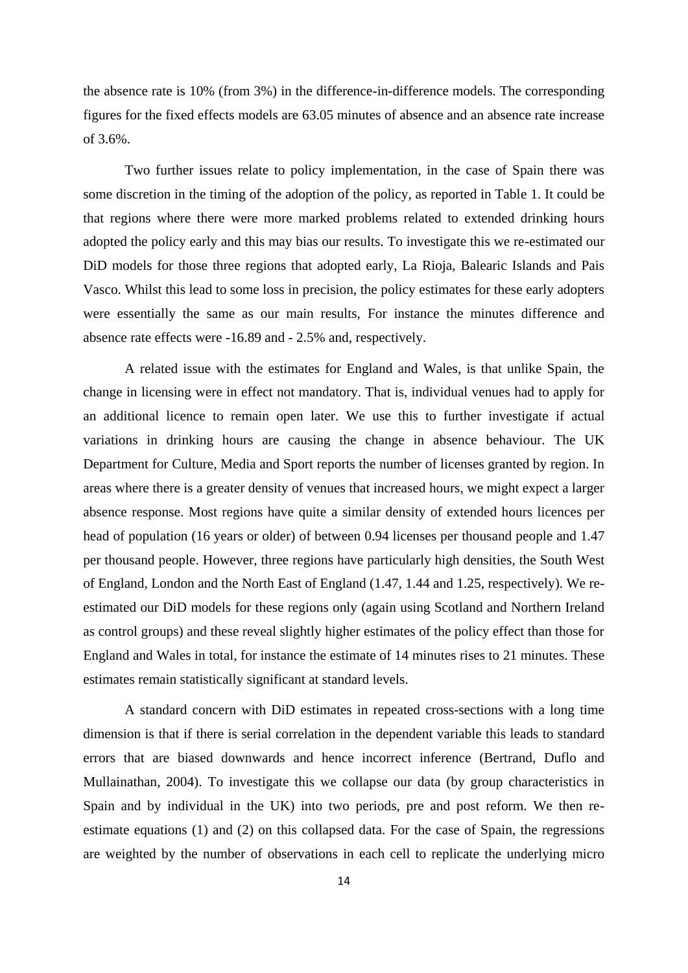the absence rate is 10% (from 3%) in the difference-in-difference models. The corresponding figures for the fixed effects models are 63.05 minutes of absence and an absence rate increase of 3.6%.

Two further issues relate to policy implementation, in the case of Spain there was some discretion in the timing of the adoption of the policy, as reported in Table 1. It could be that regions where there were more marked problems related to extended drinking hours adopted the policy early and this may bias our results. To investigate this we re-estimated our DiD models for those three regions that adopted early, La Rioja, Balearic Islands and Pais Vasco. Whilst this lead to some loss in precision, the policy estimates for these early adopters were essentially the same as our main results, For instance the minutes difference and absence rate effects were -16.89 and - 2.5% and, respectively.

A related issue with the estimates for England and Wales, is that unlike Spain, the change in licensing were in effect not mandatory. That is, individual venues had to apply for an additional licence to remain open later. We use this to further investigate if actual variations in drinking hours are causing the change in absence behaviour. The UK Department for Culture, Media and Sport reports the number of licenses granted by region. In areas where there is a greater density of venues that increased hours, we might expect a larger absence response. Most regions have quite a similar density of extended hours licences per head of population (16 years or older) of between 0.94 licenses per thousand people and 1.47 per thousand people. However, three regions have particularly high densities, the South West of England, London and the North East of England (1.47, 1.44 and 1.25, respectively). We reestimated our DiD models for these regions only (again using Scotland and Northern Ireland as control groups) and these reveal slightly higher estimates of the policy effect than those for England and Wales in total, for instance the estimate of 14 minutes rises to 21 minutes. These estimates remain statistically significant at standard levels.

A standard concern with DiD estimates in repeated cross-sections with a long time dimension is that if there is serial correlation in the dependent variable this leads to standard errors that are biased downwards and hence incorrect inference (Bertrand, Duflo and Mullainathan, 2004). To investigate this we collapse our data (by group characteristics in Spain and by individual in the UK) into two periods, pre and post reform. We then reestimate equations (1) and (2) on this collapsed data. For the case of Spain, the regressions are weighted by the number of observations in each cell to replicate the underlying micro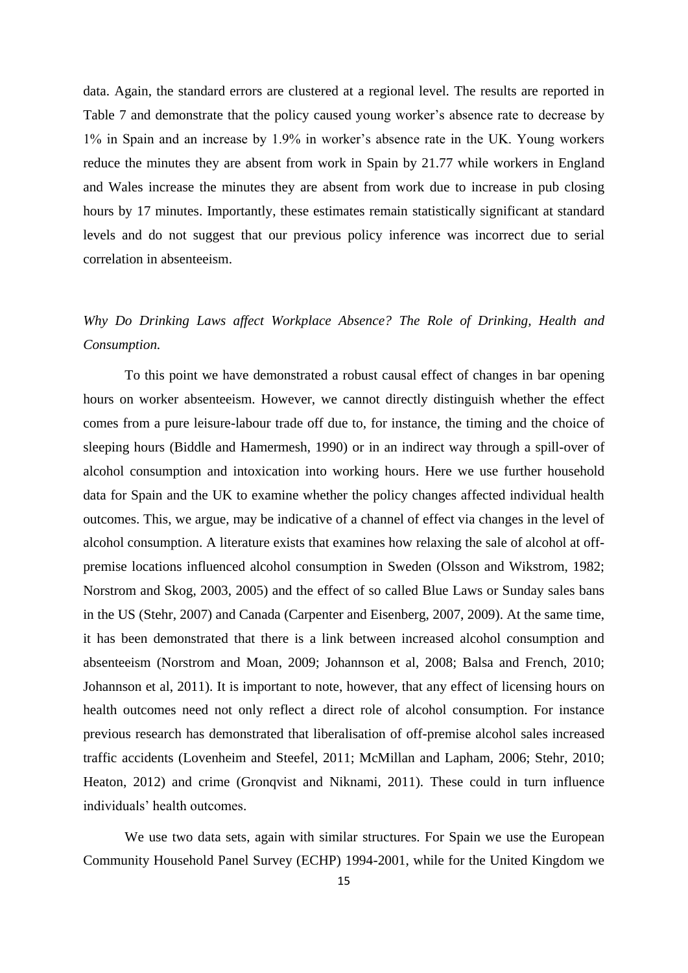data. Again, the standard errors are clustered at a regional level. The results are reported in Table 7 and demonstrate that the policy caused young worker's absence rate to decrease by 1% in Spain and an increase by 1.9% in worker's absence rate in the UK. Young workers reduce the minutes they are absent from work in Spain by 21.77 while workers in England and Wales increase the minutes they are absent from work due to increase in pub closing hours by 17 minutes. Importantly, these estimates remain statistically significant at standard levels and do not suggest that our previous policy inference was incorrect due to serial correlation in absenteeism.

# *Why Do Drinking Laws affect Workplace Absence? The Role of Drinking, Health and Consumption.*

To this point we have demonstrated a robust causal effect of changes in bar opening hours on worker absenteeism. However, we cannot directly distinguish whether the effect comes from a pure leisure-labour trade off due to, for instance, the timing and the choice of sleeping hours (Biddle and Hamermesh, 1990) or in an indirect way through a spill-over of alcohol consumption and intoxication into working hours. Here we use further household data for Spain and the UK to examine whether the policy changes affected individual health outcomes. This, we argue, may be indicative of a channel of effect via changes in the level of alcohol consumption. A literature exists that examines how relaxing the sale of alcohol at offpremise locations influenced alcohol consumption in Sweden (Olsson and Wikstrom, 1982; Norstrom and Skog, 2003, 2005) and the effect of so called Blue Laws or Sunday sales bans in the US (Stehr, 2007) and Canada (Carpenter and Eisenberg, 2007, 2009). At the same time, it has been demonstrated that there is a link between increased alcohol consumption and absenteeism (Norstrom and Moan, 2009; Johannson et al, 2008; Balsa and French, 2010; Johannson et al, 2011). It is important to note, however, that any effect of licensing hours on health outcomes need not only reflect a direct role of alcohol consumption. For instance previous research has demonstrated that liberalisation of off-premise alcohol sales increased traffic accidents (Lovenheim and Steefel, 2011; McMillan and Lapham, 2006; Stehr, 2010; Heaton, 2012) and crime (Gronqvist and Niknami, 2011). These could in turn influence individuals' health outcomes.

We use two data sets, again with similar structures. For Spain we use the European Community Household Panel Survey (ECHP) 1994-2001, while for the United Kingdom we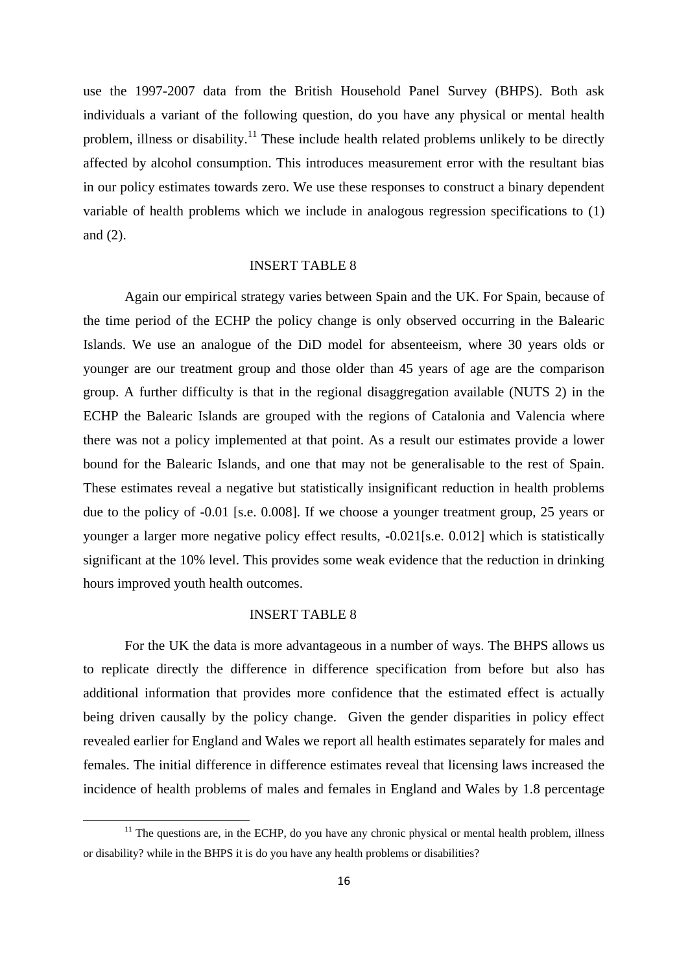use the 1997-2007 data from the British Household Panel Survey (BHPS). Both ask individuals a variant of the following question, do you have any physical or mental health problem, illness or disability.<sup>11</sup> These include health related problems unlikely to be directly affected by alcohol consumption. This introduces measurement error with the resultant bias in our policy estimates towards zero. We use these responses to construct a binary dependent variable of health problems which we include in analogous regression specifications to (1) and (2).

# INSERT TABLE 8

Again our empirical strategy varies between Spain and the UK. For Spain, because of the time period of the ECHP the policy change is only observed occurring in the Balearic Islands. We use an analogue of the DiD model for absenteeism, where 30 years olds or younger are our treatment group and those older than 45 years of age are the comparison group. A further difficulty is that in the regional disaggregation available (NUTS 2) in the ECHP the Balearic Islands are grouped with the regions of Catalonia and Valencia where there was not a policy implemented at that point. As a result our estimates provide a lower bound for the Balearic Islands, and one that may not be generalisable to the rest of Spain. These estimates reveal a negative but statistically insignificant reduction in health problems due to the policy of -0.01 [s.e. 0.008]. If we choose a younger treatment group, 25 years or younger a larger more negative policy effect results, -0.021[s.e. 0.012] which is statistically significant at the 10% level. This provides some weak evidence that the reduction in drinking hours improved youth health outcomes.

# INSERT TABLE 8

1

For the UK the data is more advantageous in a number of ways. The BHPS allows us to replicate directly the difference in difference specification from before but also has additional information that provides more confidence that the estimated effect is actually being driven causally by the policy change. Given the gender disparities in policy effect revealed earlier for England and Wales we report all health estimates separately for males and females. The initial difference in difference estimates reveal that licensing laws increased the incidence of health problems of males and females in England and Wales by 1.8 percentage

 $11$  The questions are, in the ECHP, do you have any chronic physical or mental health problem, illness or disability? while in the BHPS it is do you have any health problems or disabilities?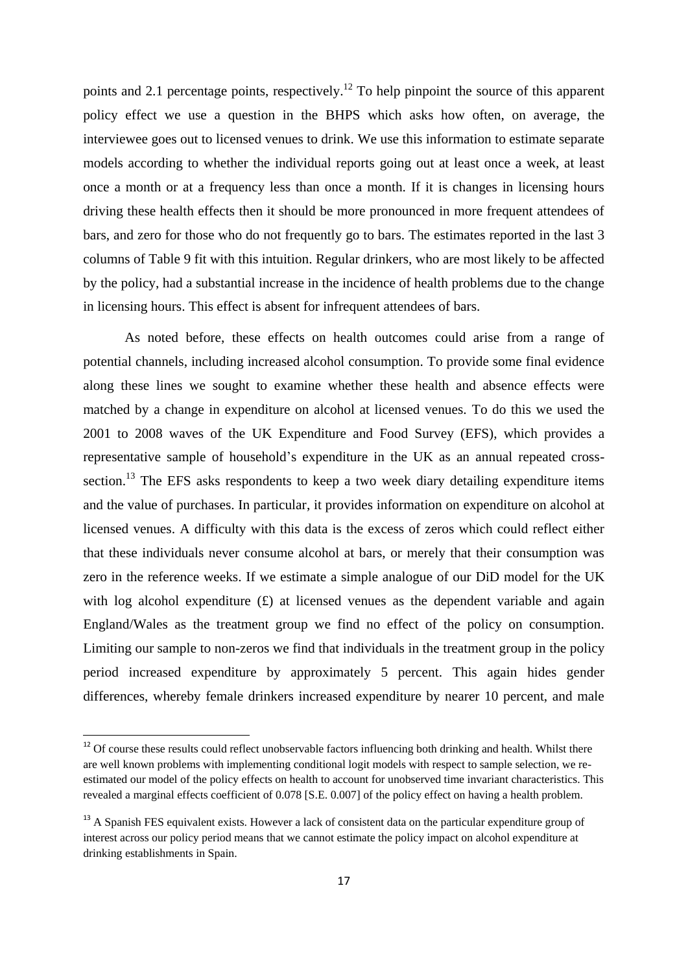points and 2.1 percentage points, respectively.<sup>12</sup> To help pinpoint the source of this apparent policy effect we use a question in the BHPS which asks how often, on average, the interviewee goes out to licensed venues to drink. We use this information to estimate separate models according to whether the individual reports going out at least once a week, at least once a month or at a frequency less than once a month. If it is changes in licensing hours driving these health effects then it should be more pronounced in more frequent attendees of bars, and zero for those who do not frequently go to bars. The estimates reported in the last 3 columns of Table 9 fit with this intuition. Regular drinkers, who are most likely to be affected by the policy, had a substantial increase in the incidence of health problems due to the change in licensing hours. This effect is absent for infrequent attendees of bars.

As noted before, these effects on health outcomes could arise from a range of potential channels, including increased alcohol consumption. To provide some final evidence along these lines we sought to examine whether these health and absence effects were matched by a change in expenditure on alcohol at licensed venues. To do this we used the 2001 to 2008 waves of the UK Expenditure and Food Survey (EFS), which provides a representative sample of household's expenditure in the UK as an annual repeated crosssection.<sup>13</sup> The EFS asks respondents to keep a two week diary detailing expenditure items and the value of purchases. In particular, it provides information on expenditure on alcohol at licensed venues. A difficulty with this data is the excess of zeros which could reflect either that these individuals never consume alcohol at bars, or merely that their consumption was zero in the reference weeks. If we estimate a simple analogue of our DiD model for the UK with log alcohol expenditure  $(f)$  at licensed venues as the dependent variable and again England/Wales as the treatment group we find no effect of the policy on consumption. Limiting our sample to non-zeros we find that individuals in the treatment group in the policy period increased expenditure by approximately 5 percent. This again hides gender differences, whereby female drinkers increased expenditure by nearer 10 percent, and male

1

 $12$  Of course these results could reflect unobservable factors influencing both drinking and health. Whilst there are well known problems with implementing conditional logit models with respect to sample selection, we reestimated our model of the policy effects on health to account for unobserved time invariant characteristics. This revealed a marginal effects coefficient of 0.078 [S.E. 0.007] of the policy effect on having a health problem.

<sup>&</sup>lt;sup>13</sup> A Spanish FES equivalent exists. However a lack of consistent data on the particular expenditure group of interest across our policy period means that we cannot estimate the policy impact on alcohol expenditure at drinking establishments in Spain.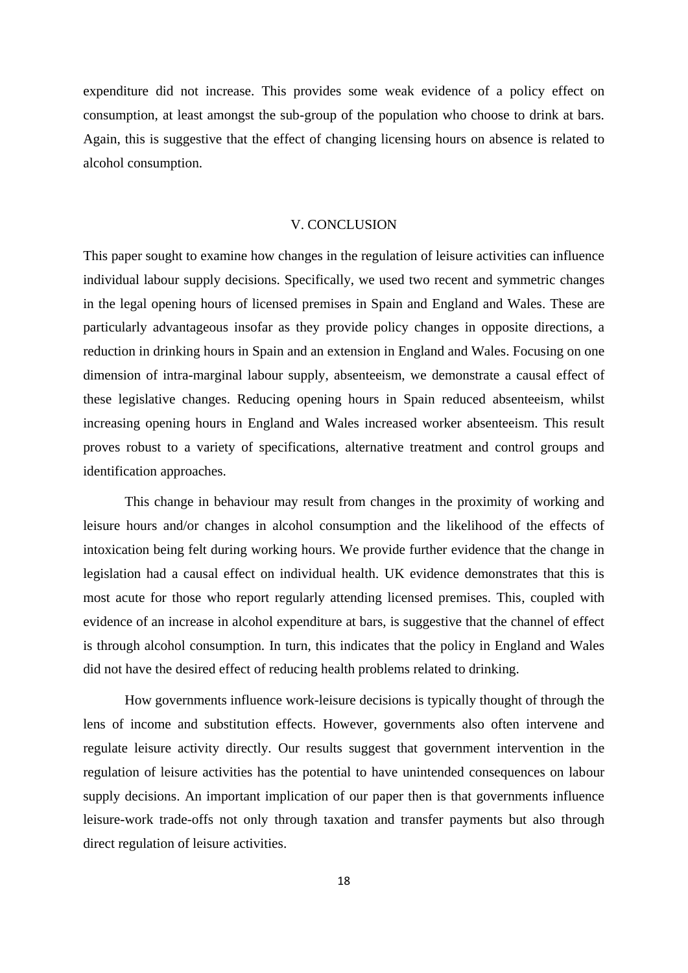expenditure did not increase. This provides some weak evidence of a policy effect on consumption, at least amongst the sub-group of the population who choose to drink at bars. Again, this is suggestive that the effect of changing licensing hours on absence is related to alcohol consumption.

#### V. CONCLUSION

This paper sought to examine how changes in the regulation of leisure activities can influence individual labour supply decisions. Specifically, we used two recent and symmetric changes in the legal opening hours of licensed premises in Spain and England and Wales. These are particularly advantageous insofar as they provide policy changes in opposite directions, a reduction in drinking hours in Spain and an extension in England and Wales. Focusing on one dimension of intra-marginal labour supply, absenteeism, we demonstrate a causal effect of these legislative changes. Reducing opening hours in Spain reduced absenteeism, whilst increasing opening hours in England and Wales increased worker absenteeism. This result proves robust to a variety of specifications, alternative treatment and control groups and identification approaches.

This change in behaviour may result from changes in the proximity of working and leisure hours and/or changes in alcohol consumption and the likelihood of the effects of intoxication being felt during working hours. We provide further evidence that the change in legislation had a causal effect on individual health. UK evidence demonstrates that this is most acute for those who report regularly attending licensed premises. This, coupled with evidence of an increase in alcohol expenditure at bars, is suggestive that the channel of effect is through alcohol consumption. In turn, this indicates that the policy in England and Wales did not have the desired effect of reducing health problems related to drinking.

How governments influence work-leisure decisions is typically thought of through the lens of income and substitution effects. However, governments also often intervene and regulate leisure activity directly. Our results suggest that government intervention in the regulation of leisure activities has the potential to have unintended consequences on labour supply decisions. An important implication of our paper then is that governments influence leisure-work trade-offs not only through taxation and transfer payments but also through direct regulation of leisure activities.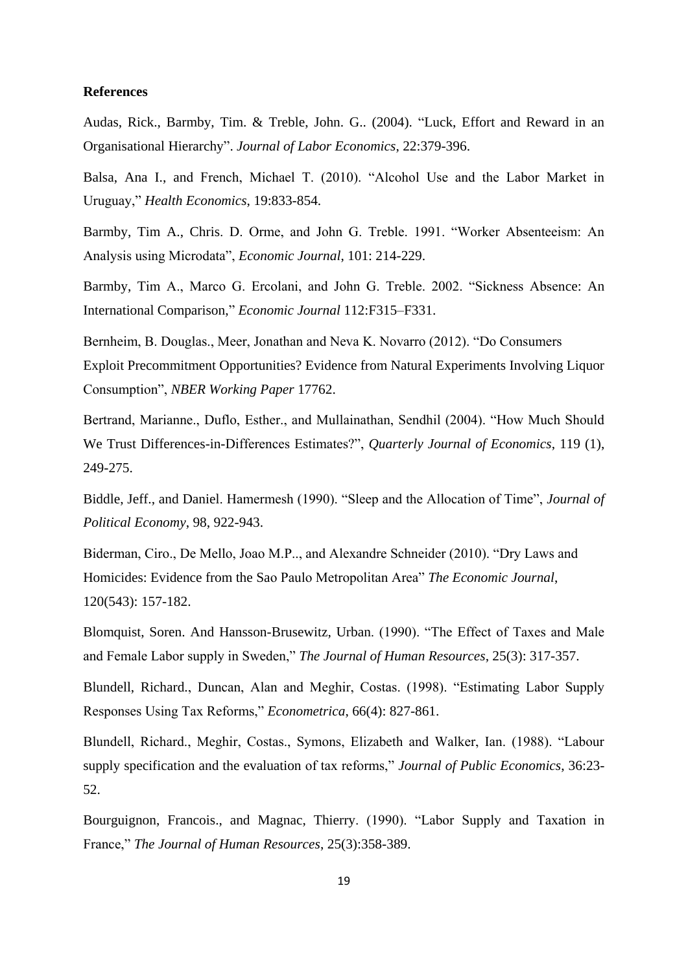# **References**

Audas, Rick., Barmby, Tim. & Treble, John. G.. (2004). "Luck, Effort and Reward in an Organisational Hierarchy". *Journal of Labor Economics*, 22:379-396.

Balsa, Ana I., and French, Michael T. (2010). "Alcohol Use and the Labor Market in Uruguay," *Health Economics*, 19:833-854.

Barmby, Tim A., Chris. D. Orme, and John G. Treble. 1991. "Worker Absenteeism: An Analysis using Microdata", *Economic Journal*, 101: 214-229.

Barmby, Tim A., Marco G. Ercolani, and John G. Treble. 2002. "Sickness Absence: An International Comparison," *Economic Journal* 112:F315–F331.

Bernheim, B. Douglas., Meer, Jonathan and Neva K. Novarro (2012). "Do Consumers Exploit Precommitment Opportunities? Evidence from Natural Experiments Involving Liquor Consumption", *NBER Working Paper* 17762.

Bertrand, Marianne., Duflo, Esther., and Mullainathan, Sendhil (2004). "How Much Should We Trust Differences-in-Differences Estimates?", *Quarterly Journal of Economics*, 119 (1), 249-275.

Biddle, Jeff., and Daniel. Hamermesh (1990). "Sleep and the Allocation of Time", *Journal of Political Economy*, 98, 922-943.

Biderman, Ciro., De Mello, Joao M.P.., and Alexandre Schneider (2010). "Dry Laws and Homicides: Evidence from the Sao Paulo Metropolitan Area" *The Economic Journal*, 120(543): 157-182.

Blomquist, Soren. And Hansson-Brusewitz, Urban. (1990). "The Effect of Taxes and Male and Female Labor supply in Sweden," *The Journal of Human Resources*, 25(3): 317-357.

Blundell, Richard., Duncan, Alan and Meghir, Costas. (1998). "Estimating Labor Supply Responses Using Tax Reforms," *Econometrica*, 66(4): 827-861.

Blundell, Richard., Meghir, Costas., Symons, Elizabeth and Walker, Ian. (1988). "Labour supply specification and the evaluation of tax reforms," *Journal of Public Economics*, 36:23- 52.

Bourguignon, Francois., and Magnac, Thierry. (1990). "Labor Supply and Taxation in France," *The Journal of Human Resources*, 25(3):358-389.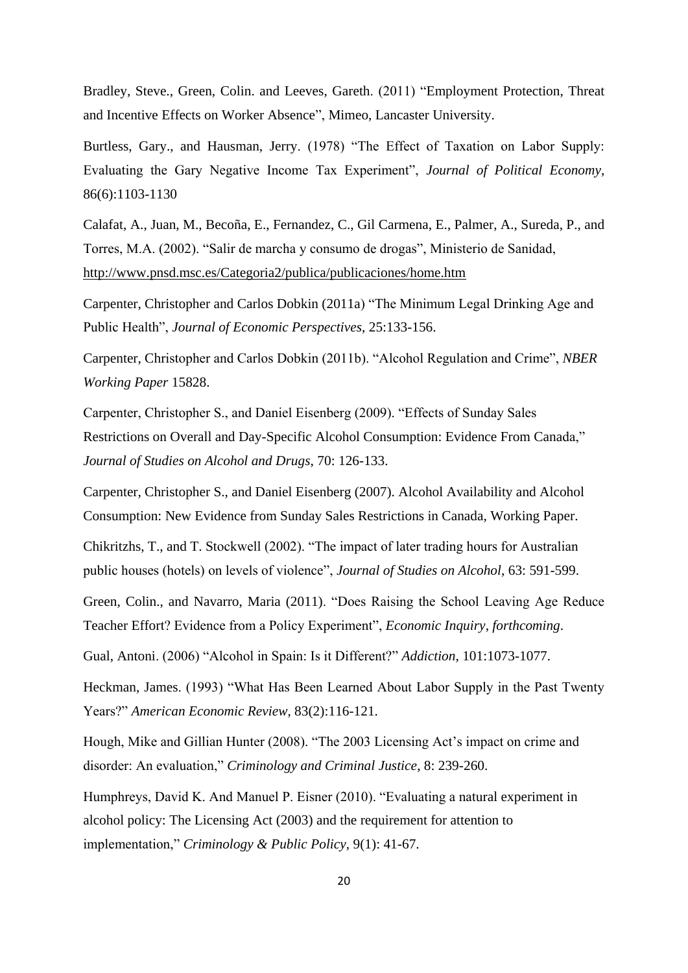Bradley, Steve., Green, Colin. and Leeves, Gareth. (2011) "Employment Protection, Threat and Incentive Effects on Worker Absence", Mimeo, Lancaster University.

Burtless, Gary., and Hausman, Jerry. (1978) "The Effect of Taxation on Labor Supply: Evaluating the Gary Negative Income Tax Experiment", *Journal of Political Economy*, 86(6):1103-1130

Calafat, A., Juan, M., Becoña, E., Fernandez, C., Gil Carmena, E., Palmer, A., Sureda, P., and Torres, M.A. (2002). "Salir de marcha y consumo de drogas", Ministerio de Sanidad, <http://www.pnsd.msc.es/Categoria2/publica/publicaciones/home.htm>

Carpenter, Christopher and Carlos Dobkin (2011a) "The Minimum Legal Drinking Age and Public Health", *Journal of Economic Perspectives*, 25:133-156.

Carpenter, Christopher and Carlos Dobkin (2011b). "Alcohol Regulation and Crime", *NBER Working Paper* 15828.

Carpenter, Christopher S., and Daniel Eisenberg (2009). "Effects of Sunday Sales Restrictions on Overall and Day-Specific Alcohol Consumption: Evidence From Canada," *Journal of Studies on Alcohol and Drugs*, 70: 126-133.

Carpenter, Christopher S., and Daniel Eisenberg (2007). Alcohol Availability and Alcohol Consumption: New Evidence from Sunday Sales Restrictions in Canada, Working Paper.

Chikritzhs, T., and T. Stockwell (2002). "The impact of later trading hours for Australian public houses (hotels) on levels of violence", *Journal of Studies on Alcohol*, 63: 591-599.

Green, Colin., and Navarro, Maria (2011). "Does Raising the School Leaving Age Reduce Teacher Effort? Evidence from a Policy Experiment", *Economic Inquiry*, *forthcoming*.

Gual, Antoni. (2006) "Alcohol in Spain: Is it Different?" *Addiction*, 101:1073-1077.

Heckman, James. (1993) "What Has Been Learned About Labor Supply in the Past Twenty Years?" *American Economic Review*, 83(2):116-121.

Hough, Mike and Gillian Hunter (2008). "The 2003 Licensing Act's impact on crime and disorder: An evaluation," *Criminology and Criminal Justice*, 8: 239-260.

Humphreys, David K. And Manuel P. Eisner (2010). "Evaluating a natural experiment in alcohol policy: The Licensing Act (2003) and the requirement for attention to implementation," *Criminology & Public Policy*, 9(1): 41-67.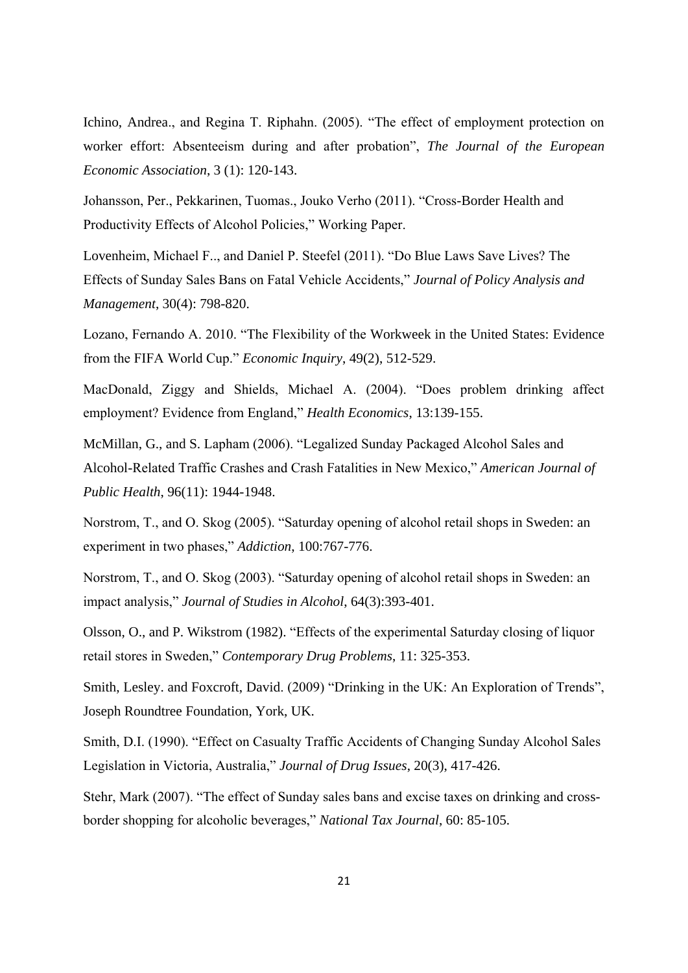Ichino, Andrea., and Regina T. Riphahn. (2005). "The effect of employment protection on worker effort: Absenteeism during and after probation", *The Journal of the European Economic Association*, 3 (1): 120-143.

Johansson, Per., Pekkarinen, Tuomas., Jouko Verho (2011). "Cross-Border Health and Productivity Effects of Alcohol Policies," Working Paper.

Lovenheim, Michael F.., and Daniel P. Steefel (2011). "Do Blue Laws Save Lives? The Effects of Sunday Sales Bans on Fatal Vehicle Accidents," *Journal of Policy Analysis and Management*, 30(4): 798-820.

Lozano, Fernando A. 2010. "The Flexibility of the Workweek in the United States: Evidence from the FIFA World Cup." *Economic Inquiry*, 49(2), 512-529.

MacDonald, Ziggy and Shields, Michael A. (2004). "Does problem drinking affect employment? Evidence from England," *Health Economics*, 13:139-155.

McMillan, G., and S. Lapham (2006). "Legalized Sunday Packaged Alcohol Sales and Alcohol-Related Traffic Crashes and Crash Fatalities in New Mexico," *American Journal of Public Health*, 96(11): 1944-1948.

Norstrom, T., and O. Skog (2005). "Saturday opening of alcohol retail shops in Sweden: an experiment in two phases," *Addiction*, 100:767-776.

Norstrom, T., and O. Skog (2003). "Saturday opening of alcohol retail shops in Sweden: an impact analysis," *Journal of Studies in Alcohol*, 64(3):393-401.

Olsson, O., and P. Wikstrom (1982). "Effects of the experimental Saturday closing of liquor retail stores in Sweden," *Contemporary Drug Problems*, 11: 325-353.

Smith, Lesley. and Foxcroft, David. (2009) "Drinking in the UK: An Exploration of Trends", Joseph Roundtree Foundation, York, UK.

Smith, D.I. (1990). "Effect on Casualty Traffic Accidents of Changing Sunday Alcohol Sales Legislation in Victoria, Australia," *Journal of Drug Issues*, 20(3), 417-426.

Stehr, Mark (2007). "The effect of Sunday sales bans and excise taxes on drinking and crossborder shopping for alcoholic beverages," *National Tax Journal*, 60: 85-105.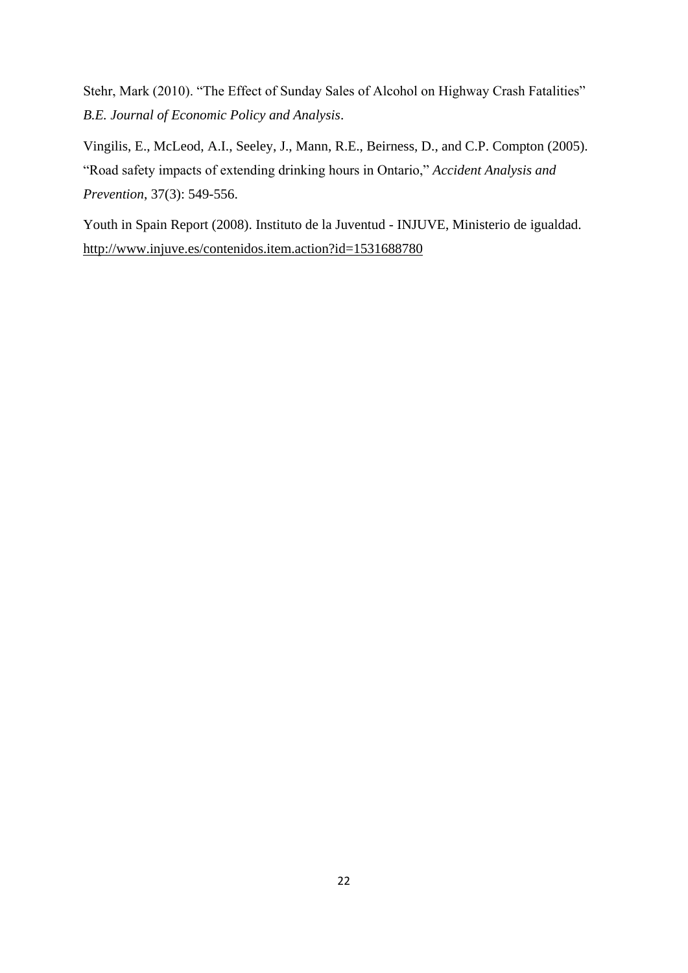Stehr, Mark (2010). "The Effect of Sunday Sales of Alcohol on Highway Crash Fatalities" *B.E. Journal of Economic Policy and Analysis*.

Vingilis, E., McLeod, A.I., Seeley, J., Mann, R.E., Beirness, D., and C.P. Compton (2005). "Road safety impacts of extending drinking hours in Ontario," *Accident Analysis and Prevention*, 37(3): 549-556.

Youth in Spain Report (2008). Instituto de la Juventud - INJUVE, Ministerio de igualdad. <http://www.injuve.es/contenidos.item.action?id=1531688780>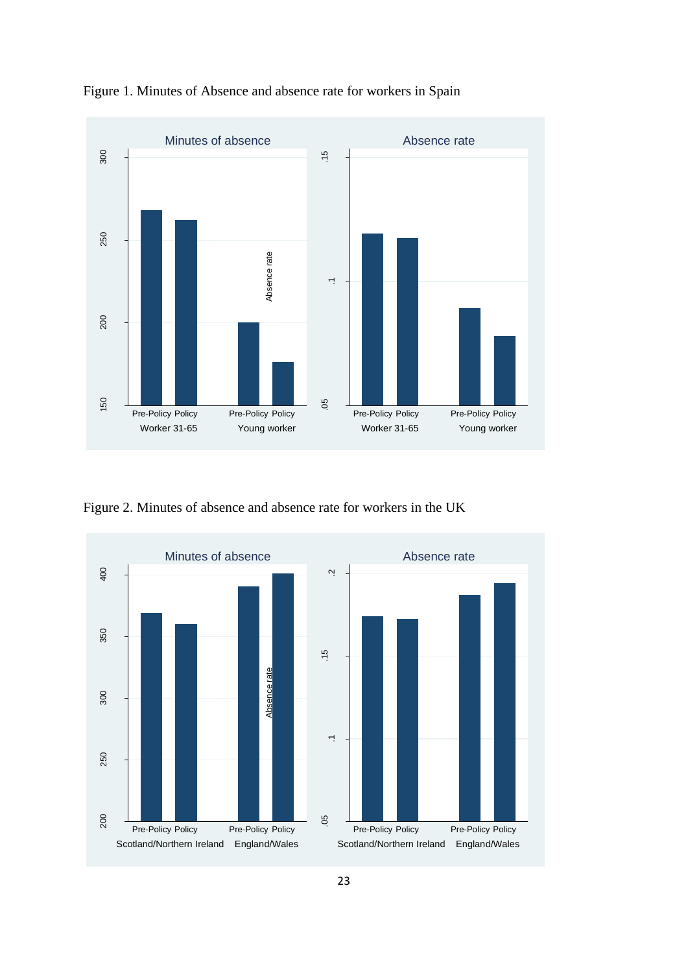

Figure 1. Minutes of Absence and absence rate for workers in Spain

Figure 2. Minutes of absence and absence rate for workers in the UK

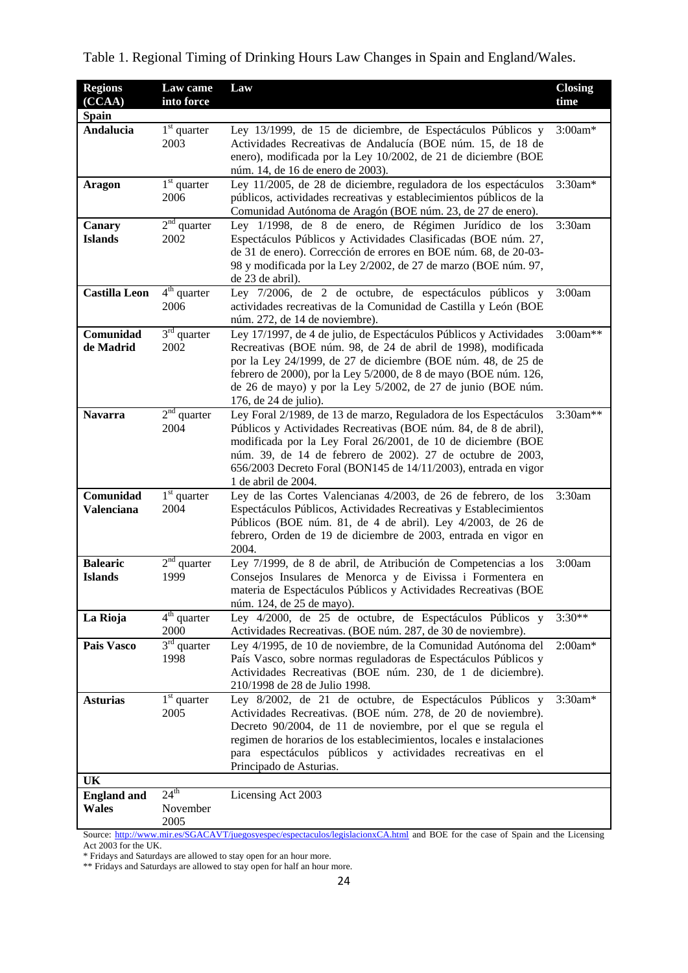| <b>Regions</b><br>(CCAA)           | Law came<br>into force               | Law                                                                                                                                                                                                                                                                                                                                                               | <b>Closing</b><br>time |
|------------------------------------|--------------------------------------|-------------------------------------------------------------------------------------------------------------------------------------------------------------------------------------------------------------------------------------------------------------------------------------------------------------------------------------------------------------------|------------------------|
| <b>Spain</b>                       |                                      |                                                                                                                                                                                                                                                                                                                                                                   |                        |
| Andalucia                          | $1st$ quarter<br>2003                | Ley 13/1999, de 15 de diciembre, de Espectáculos Públicos y<br>Actividades Recreativas de Andalucía (BOE núm. 15, de 18 de<br>enero), modificada por la Ley 10/2002, de 21 de diciembre (BOE<br>núm. 14, de 16 de enero de 2003).                                                                                                                                 | $3:00am*$              |
| <b>Aragon</b>                      | $1st$ quarter<br>2006                | Ley 11/2005, de 28 de diciembre, reguladora de los espectáculos<br>públicos, actividades recreativas y establecimientos públicos de la<br>Comunidad Autónoma de Aragón (BOE núm. 23, de 27 de enero).                                                                                                                                                             | 3:30am*                |
| Canary<br><b>Islands</b>           | $2nd$ quarter<br>2002                | Ley 1/1998, de 8 de enero, de Régimen Jurídico de los<br>Espectáculos Públicos y Actividades Clasificadas (BOE núm. 27,<br>de 31 de enero). Corrección de errores en BOE núm. 68, de 20-03-<br>98 y modificada por la Ley 2/2002, de 27 de marzo (BOE núm. 97,<br>de 23 de abril).                                                                                | 3:30am                 |
| <b>Castilla Leon</b>               | $4th$ quarter<br>2006                | Ley 7/2006, de 2 de octubre, de espectáculos públicos y<br>actividades recreativas de la Comunidad de Castilla y León (BOE<br>núm. 272, de 14 de noviembre).                                                                                                                                                                                                      | 3:00am                 |
| Comunidad<br>de Madrid             | $3rd$ quarter<br>2002                | Ley 17/1997, de 4 de julio, de Espectáculos Públicos y Actividades<br>Recreativas (BOE núm. 98, de 24 de abril de 1998), modificada<br>por la Ley 24/1999, de 27 de diciembre (BOE núm. 48, de 25 de<br>febrero de 2000), por la Ley 5/2000, de 8 de mayo (BOE núm. 126,<br>de 26 de mayo) y por la Ley 5/2002, de 27 de junio (BOE núm.<br>176, de 24 de julio). | 3:00am**               |
| <b>Navarra</b>                     | $2nd$ quarter<br>2004                | Ley Foral 2/1989, de 13 de marzo, Reguladora de los Espectáculos<br>Públicos y Actividades Recreativas (BOE núm. 84, de 8 de abril),<br>modificada por la Ley Foral 26/2001, de 10 de diciembre (BOE<br>núm. 39, de 14 de febrero de 2002). 27 de octubre de 2003,<br>656/2003 Decreto Foral (BON145 de 14/11/2003), entrada en vigor<br>1 de abril de 2004.      | 3:30am**               |
| Comunidad<br><b>Valenciana</b>     | $1st$ quarter<br>2004                | Ley de las Cortes Valencianas 4/2003, de 26 de febrero, de los<br>Espectáculos Públicos, Actividades Recreativas y Establecimientos<br>Públicos (BOE núm. 81, de 4 de abril). Ley 4/2003, de 26 de<br>febrero, Orden de 19 de diciembre de 2003, entrada en vigor en<br>2004.                                                                                     | 3:30am                 |
| <b>Balearic</b><br><b>Islands</b>  | $2nd$ quarter<br>1999                | Ley 7/1999, de 8 de abril, de Atribución de Competencias a los<br>Consejos Insulares de Menorca y de Eivissa i Formentera en<br>materia de Espectáculos Públicos y Actividades Recreativas (BOE<br>núm. 124, de 25 de mayo).                                                                                                                                      | 3:00am                 |
| La Rioja                           | $4th$ quarter<br>2000                | Ley 4/2000, de 25 de octubre, de Espectáculos Públicos y<br>Actividades Recreativas. (BOE núm. 287, de 30 de noviembre).                                                                                                                                                                                                                                          | $3:30**$               |
| Pais Vasco                         | $3rd$ quarter<br>1998                | Ley 4/1995, de 10 de noviembre, de la Comunidad Autónoma del<br>País Vasco, sobre normas reguladoras de Espectáculos Públicos y<br>Actividades Recreativas (BOE núm. 230, de 1 de diciembre).<br>210/1998 de 28 de Julio 1998.                                                                                                                                    | $2:00am*$              |
| <b>Asturias</b>                    | $1st$ quarter<br>2005                | Ley 8/2002, de 21 de octubre, de Espectáculos Públicos y<br>Actividades Recreativas. (BOE núm. 278, de 20 de noviembre).<br>Decreto 90/2004, de 11 de noviembre, por el que se regula el<br>regimen de horarios de los establecimientos, locales e instalaciones<br>para espectáculos públicos y actividades recreativas en el<br>Principado de Asturias.         | $3:30$ am*             |
| UK                                 |                                      |                                                                                                                                                                                                                                                                                                                                                                   |                        |
| <b>England and</b><br><b>Wales</b> | 24 <sup>th</sup><br>November<br>2005 | Licensing Act 2003                                                                                                                                                                                                                                                                                                                                                |                        |

|  |  | Table 1. Regional Timing of Drinking Hours Law Changes in Spain and England/Wales. |
|--|--|------------------------------------------------------------------------------------|
|  |  |                                                                                    |

Source:<http://www.mir.es/SGACAVT/juegosyespec/espectaculos/legislacionxCA.html> and BOE for the case of Spain and the Licensing Act 2003 for the UK.

\* Fridays and Saturdays are allowed to stay open for an hour more.

\*\* Fridays and Saturdays are allowed to stay open for half an hour more.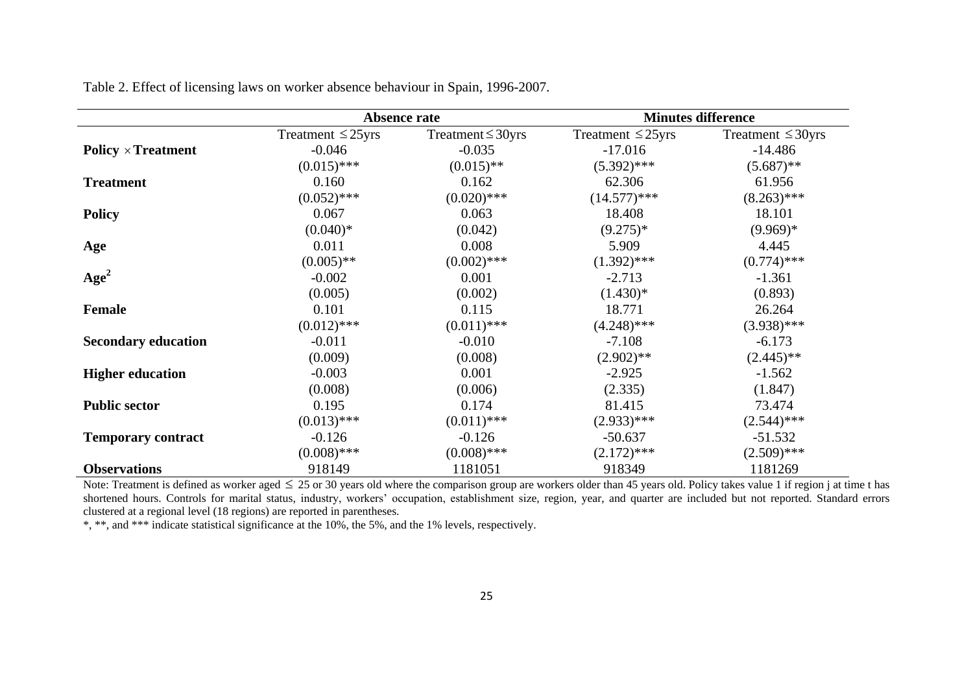|                            |                        | Absence rate           |                        | <b>Minutes difference</b> |  |  |
|----------------------------|------------------------|------------------------|------------------------|---------------------------|--|--|
|                            | Treatment $\leq$ 25yrs | Treatment $\leq$ 30yrs | Treatment $\leq$ 25yrs | Treatment $\leq$ 30yrs    |  |  |
| <b>Policy × Treatment</b>  | $-0.046$               | $-0.035$               | $-17.016$              | $-14.486$                 |  |  |
|                            | $(0.015)$ ***          | $(0.015)$ **           | $(5.392)$ ***          | $(5.687)$ **              |  |  |
| <b>Treatment</b>           | 0.160                  | 0.162                  | 62.306                 | 61.956                    |  |  |
|                            | $(0.052)$ ***          | $(0.020)$ ***          | $(14.577)****$         | $(8.263)$ ***             |  |  |
| <b>Policy</b>              | 0.067                  | 0.063                  | 18.408                 | 18.101                    |  |  |
|                            | $(0.040)*$             | (0.042)                | $(9.275)*$             | $(9.969)*$                |  |  |
| Age                        | 0.011                  | 0.008                  | 5.909                  | 4.445                     |  |  |
|                            | $(0.005)$ **           | $(0.002)$ ***          | $(1.392)$ ***          | $(0.774)$ ***             |  |  |
| Age <sup>2</sup>           | $-0.002$               | 0.001                  | $-2.713$               | $-1.361$                  |  |  |
|                            | (0.005)                | (0.002)                | $(1.430)*$             | (0.893)                   |  |  |
| <b>Female</b>              | 0.101                  | 0.115                  | 18.771                 | 26.264                    |  |  |
|                            | $(0.012)$ ***          | $(0.011)$ ***          | $(4.248)$ ***          | $(3.938)$ ***             |  |  |
| <b>Secondary education</b> | $-0.011$               | $-0.010$               | $-7.108$               | $-6.173$                  |  |  |
|                            | (0.009)                | (0.008)                | $(2.902)$ **           | $(2.445)$ **              |  |  |
| <b>Higher education</b>    | $-0.003$               | 0.001                  | $-2.925$               | $-1.562$                  |  |  |
|                            | (0.008)                | (0.006)                | (2.335)                | (1.847)                   |  |  |
| <b>Public sector</b>       | 0.195                  | 0.174                  | 81.415                 | 73.474                    |  |  |
|                            | $(0.013)$ ***          | $(0.011)$ ***          | $(2.933)$ ***          | $(2.544)$ ***             |  |  |
| <b>Temporary contract</b>  | $-0.126$               | $-0.126$               | $-50.637$              | $-51.532$                 |  |  |
|                            | $(0.008)$ ***          | $(0.008)$ ***          | $(2.172)$ ***          | $(2.509)$ ***             |  |  |
| <b>Observations</b>        | 918149                 | 1181051                | 918349                 | 1181269                   |  |  |

Table 2. Effect of licensing laws on worker absence behaviour in Spain, 1996-2007.

Note: Treatment is defined as worker aged  $\leq 25$  or 30 years old where the comparison group are workers older than 45 years old. Policy takes value 1 if region j at time t has shortened hours. Controls for marital status, industry, workers' occupation, establishment size, region, year, and quarter are included but not reported. Standard errors clustered at a regional level (18 regions) are reported in parentheses.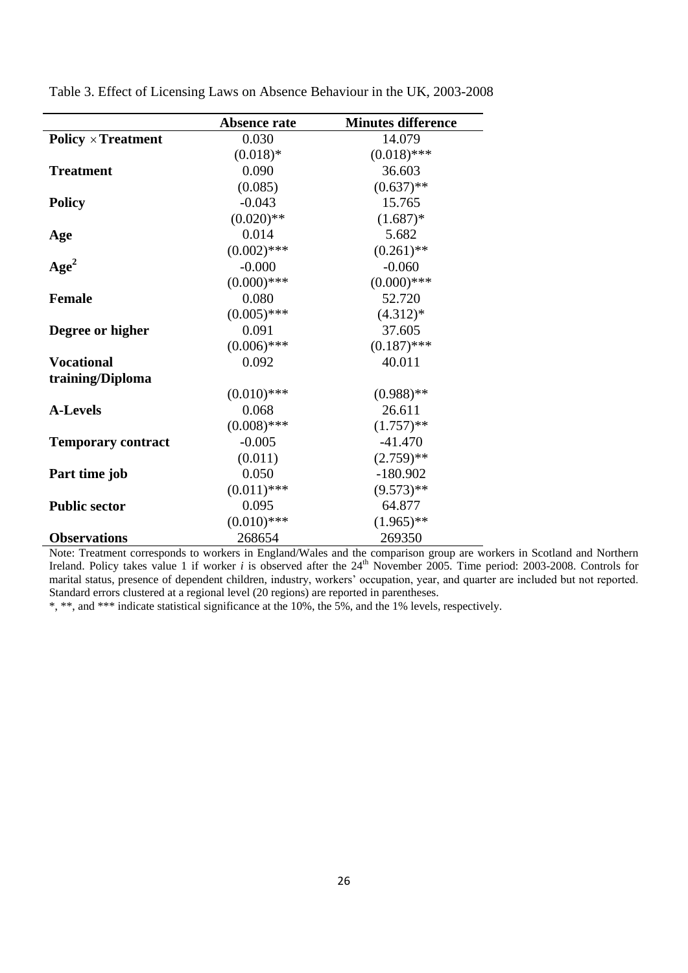|                           | Absence rate  | <b>Minutes difference</b> |
|---------------------------|---------------|---------------------------|
| <b>Policy × Treatment</b> | 0.030         | 14.079                    |
|                           | $(0.018)*$    | $(0.018)$ ***             |
| <b>Treatment</b>          | 0.090         | 36.603                    |
|                           | (0.085)       | $(0.637)$ **              |
| <b>Policy</b>             | $-0.043$      | 15.765                    |
|                           | $(0.020)$ **  | $(1.687)*$                |
| Age                       | 0.014         | 5.682                     |
|                           | $(0.002)$ *** | $(0.261)$ **              |
| Age <sup>2</sup>          | $-0.000$      | $-0.060$                  |
|                           | $(0.000)$ *** | $(0.000)$ ***             |
| <b>Female</b>             | 0.080         | 52.720                    |
|                           | $(0.005)$ *** | $(4.312)*$                |
| Degree or higher          | 0.091         | 37.605                    |
|                           | $(0.006)$ *** | $(0.187)$ ***             |
| <b>Vocational</b>         | 0.092         | 40.011                    |
| training/Diploma          |               |                           |
|                           | $(0.010)$ *** | $(0.988)$ **              |
| <b>A-Levels</b>           | 0.068         | 26.611                    |
|                           | $(0.008)$ *** | $(1.757)$ **              |
| <b>Temporary contract</b> | $-0.005$      | $-41.470$                 |
|                           | (0.011)       | $(2.759)$ **              |
| Part time job             | 0.050         | $-180.902$                |
|                           | $(0.011)$ *** | $(9.573)**$               |
| <b>Public sector</b>      | 0.095         | 64.877                    |
|                           | $(0.010)$ *** | $(1.965)$ **              |
| <b>Observations</b>       | 268654        | 269350                    |

Table 3. Effect of Licensing Laws on Absence Behaviour in the UK, 2003-2008

Note: Treatment corresponds to workers in England/Wales and the comparison group are workers in Scotland and Northern Ireland. Policy takes value 1 if worker *i* is observed after the 24<sup>th</sup> November 2005. Time period: 2003-2008. Controls for marital status, presence of dependent children, industry, workers' occupation, year, and quarter are included but not reported. Standard errors clustered at a regional level (20 regions) are reported in parentheses.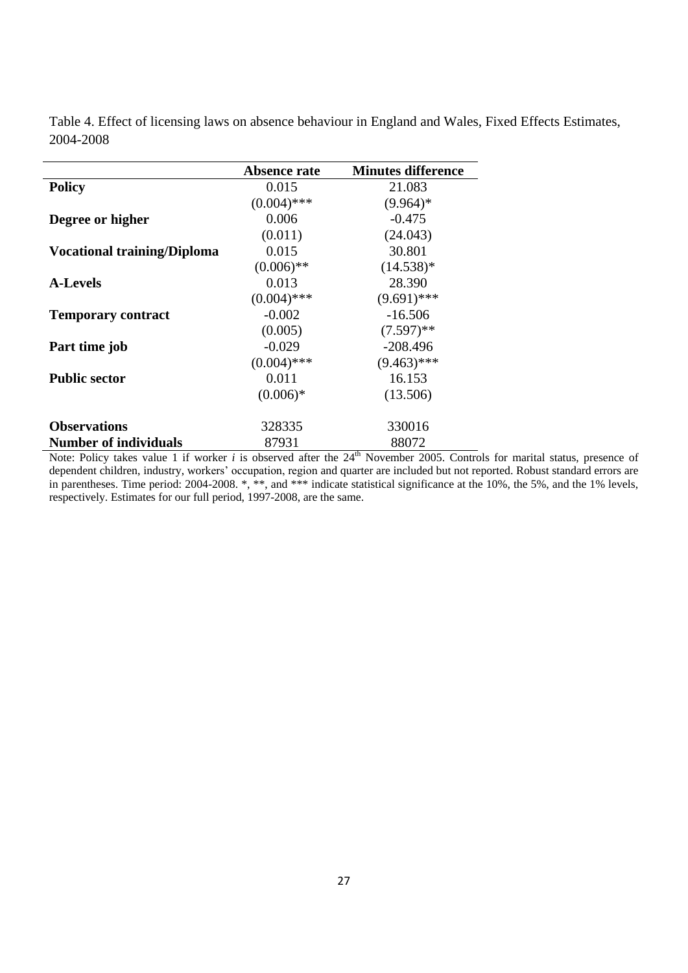Table 4. Effect of licensing laws on absence behaviour in England and Wales, Fixed Effects Estimates, 2004-2008

|                                    | Absence rate  | <b>Minutes difference</b> |
|------------------------------------|---------------|---------------------------|
| <b>Policy</b>                      | 0.015         | 21.083                    |
|                                    | $(0.004)$ *** | $(9.964)*$                |
| Degree or higher                   | 0.006         | $-0.475$                  |
|                                    | (0.011)       | (24.043)                  |
| <b>Vocational training/Diploma</b> | 0.015         | 30.801                    |
|                                    | $(0.006)$ **  | $(14.538)^*$              |
| <b>A-Levels</b>                    | 0.013         | 28.390                    |
|                                    | $(0.004)$ *** | $(9.691)$ ***             |
| <b>Temporary contract</b>          | $-0.002$      | $-16.506$                 |
|                                    | (0.005)       | $(7.597)$ **              |
| Part time job                      | $-0.029$      | $-208.496$                |
|                                    | $(0.004)$ *** | $(9.463)$ ***             |
| <b>Public sector</b>               | 0.011         | 16.153                    |
|                                    | $(0.006)*$    | (13.506)                  |
|                                    |               |                           |
| <b>Observations</b>                | 328335        | 330016                    |
| <b>Number of individuals</b>       | 87931         | 88072                     |

Note: Policy takes value 1 if worker *i* is observed after the 24<sup>th</sup> November 2005. Controls for marital status, presence of dependent children, industry, workers' occupation, region and quarter are included but not reported. Robust standard errors are in parentheses. Time period: 2004-2008. \*, \*\*, and \*\*\* indicate statistical significance at the 10%, the 5%, and the 1% levels, respectively. Estimates for our full period, 1997-2008, are the same.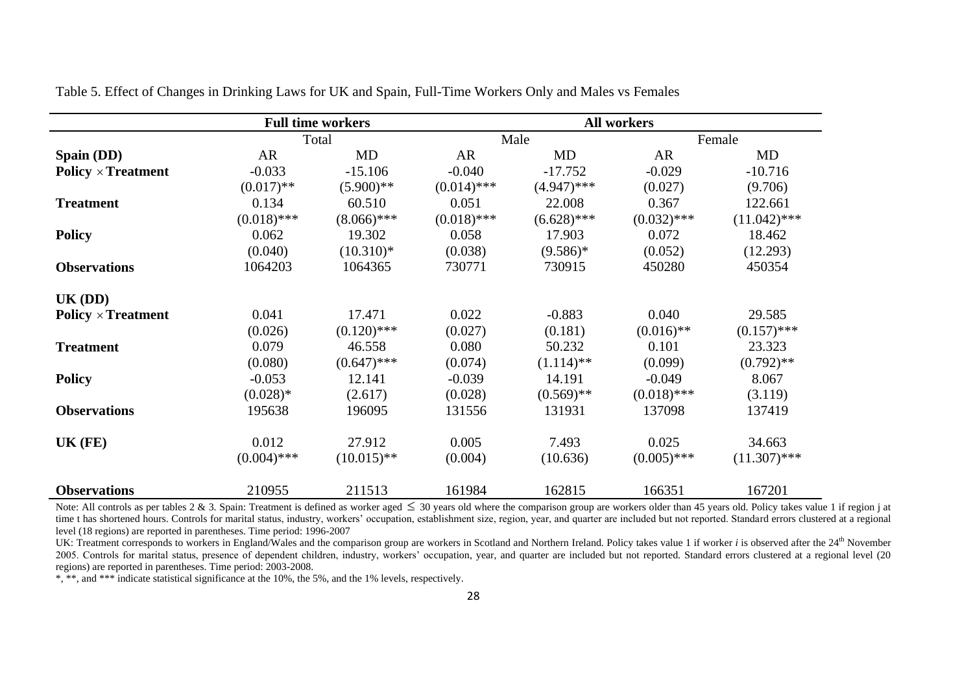|                           |               | <b>Full time workers</b> |               |                         | <b>All workers</b> |                |
|---------------------------|---------------|--------------------------|---------------|-------------------------|--------------------|----------------|
|                           |               | Total                    |               | Male                    |                    | Female         |
| Spain (DD)                | AR            | MD                       | AR            | MD                      | <b>AR</b>          | MD             |
| <b>Policy × Treatment</b> | $-0.033$      | $-15.106$                | $-0.040$      | $-17.752$               | $-0.029$           | $-10.716$      |
|                           | $(0.017)$ **  | $(5.900)$ **             | $(0.014)$ *** | $(4.947)$ ***           | (0.027)            | (9.706)        |
| <b>Treatment</b>          | 0.134         | 60.510                   | 0.051         | 22.008                  | 0.367              | 122.661        |
|                           | $(0.018)$ *** | $(8.066)$ ***            | $(0.018)$ *** | $(6.628)$ ***           | $(0.032)$ ***      | $(11.042)$ *** |
| <b>Policy</b>             | 0.062         | 19.302                   | 0.058         | 17.903                  | 0.072              | 18.462         |
|                           | (0.040)       | $(10.310)*$              | (0.038)       | $(9.586)*$              | (0.052)            | (12.293)       |
| <b>Observations</b>       | 1064203       | 1064365                  | 730771        | 730915                  | 450280             | 450354         |
| $UK$ (DD)                 |               |                          |               |                         |                    |                |
| <b>Policy × Treatment</b> | 0.041         | 17.471                   | 0.022         | $-0.883$                | 0.040              | 29.585         |
|                           | (0.026)       | $(0.120)$ ***            | (0.027)       | (0.181)                 | $(0.016)$ **       | $(0.157)$ ***  |
| <b>Treatment</b>          | 0.079         | 46.558                   | 0.080         | 50.232                  | 0.101              | 23.323         |
|                           | (0.080)       | $(0.647)$ ***            | (0.074)       | $(1.114)$ <sup>**</sup> | (0.099)            | $(0.792)$ **   |
| <b>Policy</b>             | $-0.053$      | 12.141                   | $-0.039$      | 14.191                  | $-0.049$           | 8.067          |
|                           | $(0.028)$ *   | (2.617)                  | (0.028)       | $(0.569)$ **            | $(0.018)$ ***      | (3.119)        |
| <b>Observations</b>       | 195638        | 196095                   | 131556        | 131931                  | 137098             | 137419         |
| $UK$ (FE)                 | 0.012         | 27.912                   | 0.005         | 7.493                   | 0.025              | 34.663         |
|                           | $(0.004)$ *** | $(10.015)$ **            | (0.004)       | (10.636)                | $(0.005)$ ***      | $(11.307)$ *** |
| <b>Observations</b>       | 210955        | 211513                   | 161984        | 162815                  | 166351             | 167201         |

Table 5. Effect of Changes in Drinking Laws for UK and Spain, Full-Time Workers Only and Males vs Females

Note: All controls as per tables 2 & 3. Spain: Treatment is defined as worker aged  $\leq$  30 years old where the comparison group are workers older than 45 years old. Policy takes value 1 if region j at time t has shortened hours. Controls for marital status, industry, workers' occupation, establishment size, region, year, and quarter are included but not reported. Standard errors clustered at a regional level (18 regions) are reported in parentheses. Time period: 1996-2007

UK: Treatment corresponds to workers in England/Wales and the comparison group are workers in Scotland and Northern Ireland. Policy takes value 1 if worker *i* is observed after the 24<sup>th</sup> November 2005. Controls for marital status, presence of dependent children, industry, workers' occupation, year, and quarter are included but not reported. Standard errors clustered at a regional level (20 regions) are reported in parentheses. Time period: 2003-2008.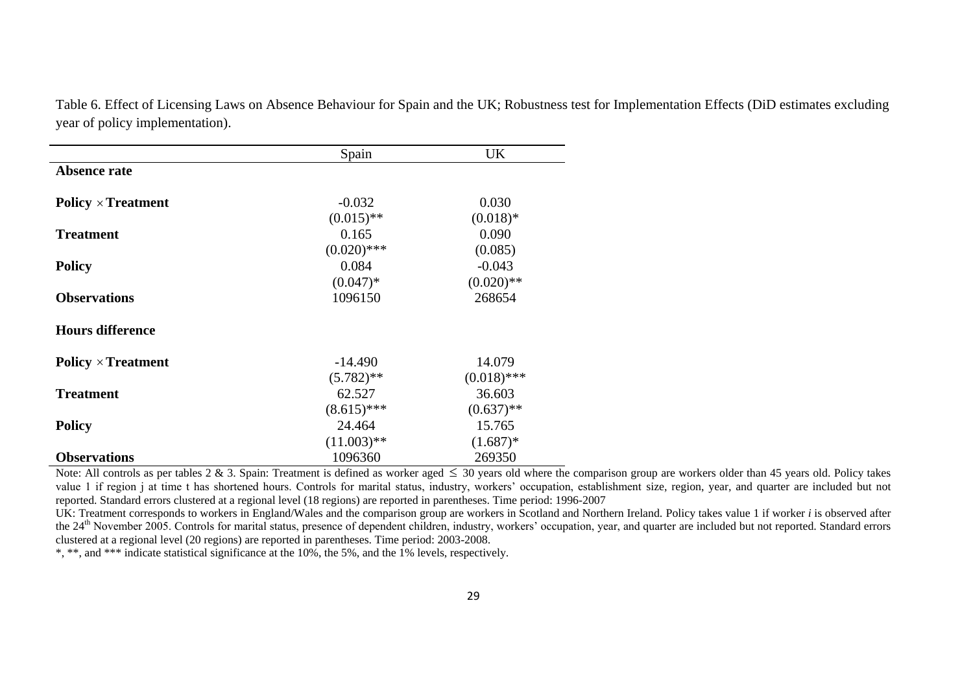Table 6. Effect of Licensing Laws on Absence Behaviour for Spain and the UK; Robustness test for Implementation Effects (DiD estimates excluding year of policy implementation).

|                           | Spain         | <b>UK</b>     |
|---------------------------|---------------|---------------|
| <b>Absence rate</b>       |               |               |
| Policy $\times$ Treatment | $-0.032$      | 0.030         |
|                           | $(0.015)$ **  | $(0.018)$ *   |
| <b>Treatment</b>          | 0.165         | 0.090         |
|                           | $(0.020)$ *** | (0.085)       |
| <b>Policy</b>             | 0.084         | $-0.043$      |
|                           | $(0.047)*$    | $(0.020)$ **  |
| <b>Observations</b>       | 1096150       | 268654        |
| <b>Hours difference</b>   |               |               |
| Policy $\times$ Treatment | $-14.490$     | 14.079        |
|                           | $(5.782)$ **  | $(0.018)$ *** |
| <b>Treatment</b>          | 62.527        | 36.603        |
|                           | $(8.615)$ *** | $(0.637)$ **  |
| <b>Policy</b>             | 24.464        | 15.765        |
|                           | $(11.003)$ ** | $(1.687)^*$   |
| <b>Observations</b>       | 1096360       | 269350        |

Note: All controls as per tables 2 & 3. Spain: Treatment is defined as worker aged  $\leq$  30 years old where the comparison group are workers older than 45 years old. Policy takes value 1 if region j at time t has shortened hours. Controls for marital status, industry, workers' occupation, establishment size, region, year, and quarter are included but not reported. Standard errors clustered at a regional level (18 regions) are reported in parentheses. Time period: 1996-2007

UK: Treatment corresponds to workers in England/Wales and the comparison group are workers in Scotland and Northern Ireland. Policy takes value 1 if worker *i* is observed after the 24<sup>th</sup> November 2005. Controls for marital status, presence of dependent children, industry, workers' occupation, year, and quarter are included but not reported. Standard errors clustered at a regional level (20 regions) are reported in parentheses. Time period: 2003-2008.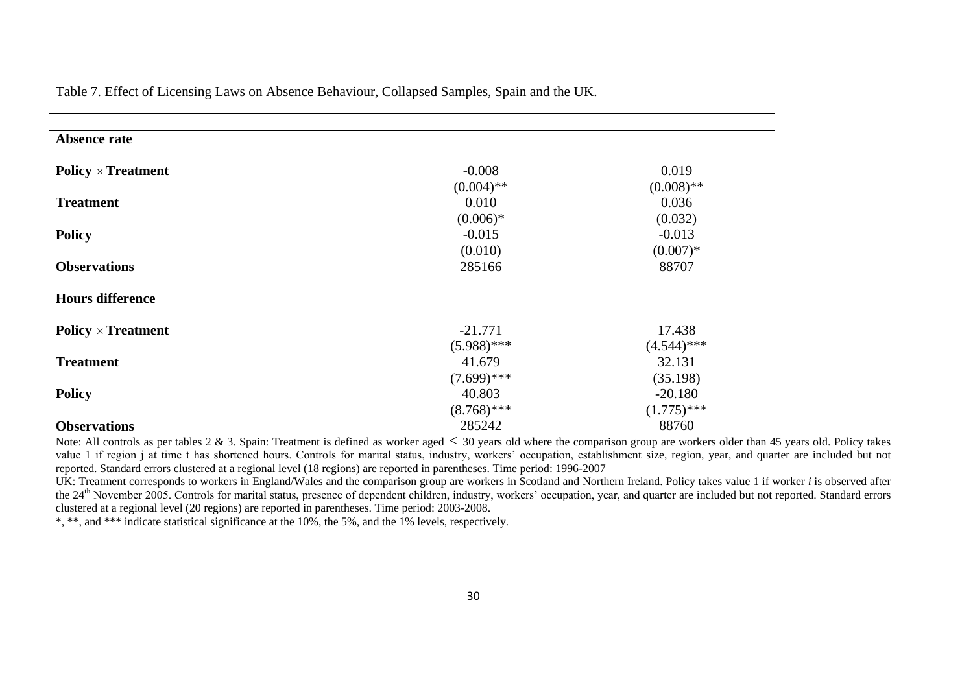| <b>Absence rate</b>       |               |               |
|---------------------------|---------------|---------------|
| <b>Policy × Treatment</b> | $-0.008$      | 0.019         |
|                           | $(0.004)$ **  | $(0.008)$ **  |
| <b>Treatment</b>          | 0.010         | 0.036         |
|                           | $(0.006)*$    | (0.032)       |
| <b>Policy</b>             | $-0.015$      | $-0.013$      |
|                           | (0.010)       | $(0.007)*$    |
| <b>Observations</b>       | 285166        | 88707         |
| <b>Hours difference</b>   |               |               |
| Policy $\times$ Treatment | $-21.771$     | 17.438        |
|                           | $(5.988)$ *** | $(4.544)$ *** |
| <b>Treatment</b>          | 41.679        | 32.131        |
|                           | $(7.699)$ *** | (35.198)      |
| <b>Policy</b>             | 40.803        | $-20.180$     |
|                           | $(8.768)$ *** | $(1.775)$ *** |
| <b>Observations</b>       | 285242        | 88760         |

Table 7. Effect of Licensing Laws on Absence Behaviour, Collapsed Samples, Spain and the UK.

Note: All controls as per tables 2 & 3. Spain: Treatment is defined as worker aged  $\leq$  30 years old where the comparison group are workers older than 45 years old. Policy takes value 1 if region j at time t has shortened hours. Controls for marital status, industry, workers' occupation, establishment size, region, year, and quarter are included but not reported. Standard errors clustered at a regional level (18 regions) are reported in parentheses. Time period: 1996-2007

UK: Treatment corresponds to workers in England/Wales and the comparison group are workers in Scotland and Northern Ireland. Policy takes value 1 if worker *i* is observed after the 24<sup>th</sup> November 2005. Controls for marital status, presence of dependent children, industry, workers' occupation, year, and quarter are included but not reported. Standard errors clustered at a regional level (20 regions) are reported in parentheses. Time period: 2003-2008.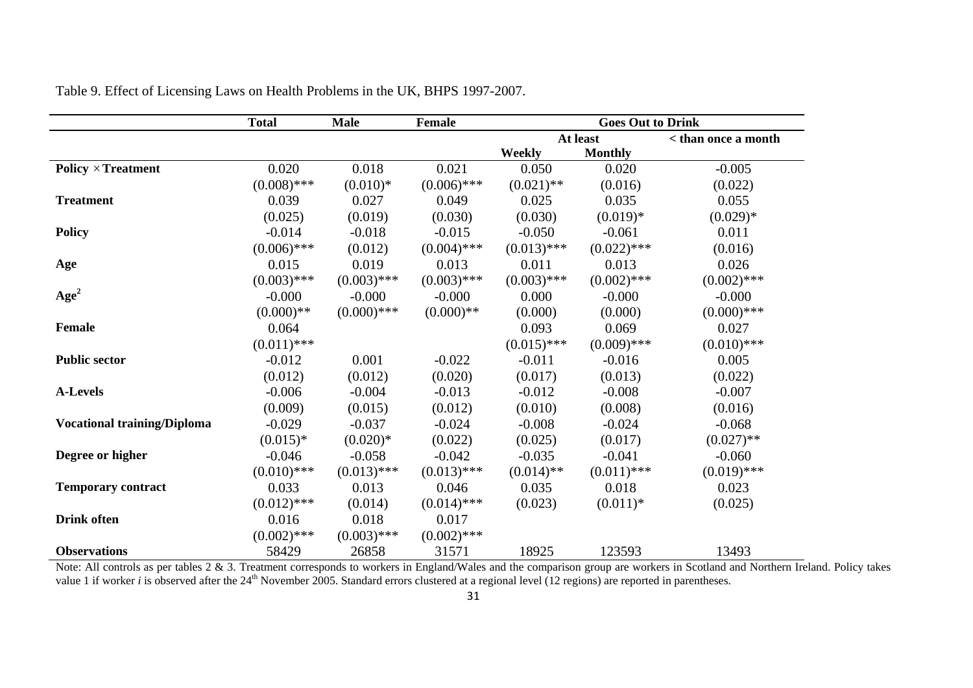|                                    | <b>Total</b>  | <b>Male</b>   | <b>Female</b> | <b>Goes Out to Drink</b> |                |                     |  |
|------------------------------------|---------------|---------------|---------------|--------------------------|----------------|---------------------|--|
|                                    |               |               |               | At least                 |                | < than once a month |  |
|                                    |               |               |               | <b>Weekly</b>            | <b>Monthly</b> |                     |  |
| Policy $\times$ Treatment          | 0.020         | 0.018         | 0.021         | 0.050                    | 0.020          | $-0.005$            |  |
|                                    | $(0.008)$ *** | $(0.010)*$    | $(0.006)$ *** | $(0.021)$ **             | (0.016)        | (0.022)             |  |
| <b>Treatment</b>                   | 0.039         | 0.027         | 0.049         | 0.025                    | 0.035          | 0.055               |  |
|                                    | (0.025)       | (0.019)       | (0.030)       | (0.030)                  | $(0.019)*$     | $(0.029)*$          |  |
| <b>Policy</b>                      | $-0.014$      | $-0.018$      | $-0.015$      | $-0.050$                 | $-0.061$       | 0.011               |  |
|                                    | $(0.006)$ *** | (0.012)       | $(0.004)$ *** | $(0.013)$ ***            | $(0.022)$ ***  | (0.016)             |  |
| Age                                | 0.015         | 0.019         | 0.013         | 0.011                    | 0.013          | 0.026               |  |
|                                    | $(0.003)$ *** | $(0.003)$ *** | $(0.003)$ *** | $(0.003)$ ***            | $(0.002)$ ***  | $(0.002)$ ***       |  |
| Age <sup>2</sup>                   | $-0.000$      | $-0.000$      | $-0.000$      | 0.000                    | $-0.000$       | $-0.000$            |  |
|                                    | $(0.000)$ **  | $(0.000)$ *** | $(0.000)**$   | (0.000)                  | (0.000)        | $(0.000)$ ***       |  |
| <b>Female</b>                      | 0.064         |               |               | 0.093                    | 0.069          | 0.027               |  |
|                                    | $(0.011)$ *** |               |               | $(0.015)$ ***            | $(0.009)$ ***  | $(0.010)$ ***       |  |
| <b>Public sector</b>               | $-0.012$      | 0.001         | $-0.022$      | $-0.011$                 | $-0.016$       | 0.005               |  |
|                                    | (0.012)       | (0.012)       | (0.020)       | (0.017)                  | (0.013)        | (0.022)             |  |
| <b>A-Levels</b>                    | $-0.006$      | $-0.004$      | $-0.013$      | $-0.012$                 | $-0.008$       | $-0.007$            |  |
|                                    | (0.009)       | (0.015)       | (0.012)       | (0.010)                  | (0.008)        | (0.016)             |  |
| <b>Vocational training/Diploma</b> | $-0.029$      | $-0.037$      | $-0.024$      | $-0.008$                 | $-0.024$       | $-0.068$            |  |
|                                    | $(0.015)*$    | $(0.020)*$    | (0.022)       | (0.025)                  | (0.017)        | $(0.027)$ **        |  |
| Degree or higher                   | $-0.046$      | $-0.058$      | $-0.042$      | $-0.035$                 | $-0.041$       | $-0.060$            |  |
|                                    | $(0.010)$ *** | $(0.013)$ *** | $(0.013)$ *** | $(0.014)$ **             | $(0.011)$ ***  | $(0.019)$ ***       |  |
| <b>Temporary contract</b>          | 0.033         | 0.013         | 0.046         | 0.035                    | 0.018          | 0.023               |  |
|                                    | $(0.012)$ *** | (0.014)       | $(0.014)$ *** | (0.023)                  | $(0.011)*$     | (0.025)             |  |
| <b>Drink</b> often                 | 0.016         | 0.018         | 0.017         |                          |                |                     |  |
|                                    | $(0.002)$ *** | $(0.003)$ *** | $(0.002)$ *** |                          |                |                     |  |
| <b>Observations</b>                | 58429         | 26858         | 31571         | 18925                    | 123593         | 13493               |  |

Table 9. Effect of Licensing Laws on Health Problems in the UK, BHPS 1997-2007.

Note: All controls as per tables 2 & 3. Treatment corresponds to workers in England/Wales and the comparison group are workers in Scotland and Northern Ireland. Policy takes value 1 if worker *i* is observed after the  $24<sup>th</sup>$  November 2005. Standard errors clustered at a regional level (12 regions) are reported in parentheses.